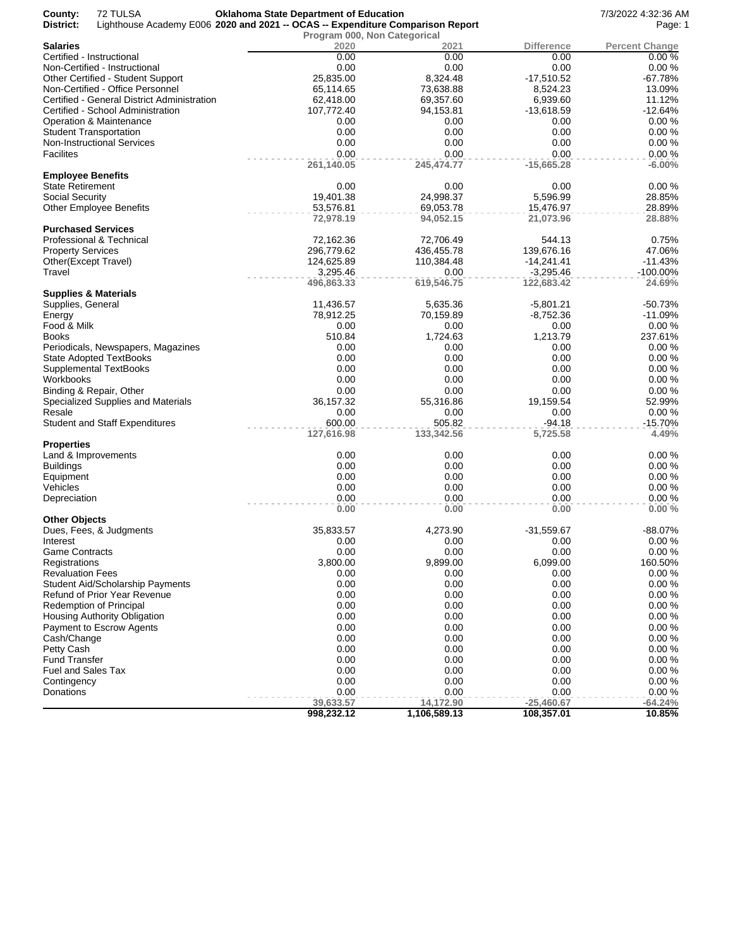| County:<br>72 TULSA<br>District:                         | <b>Oklahoma State Department of Education</b><br>Lighthouse Academy E006 2020 and 2021 -- OCAS -- Expenditure Comparison Report |                   |                  | 7/3/2022 4:32:36 AM<br>Page: 1 |
|----------------------------------------------------------|---------------------------------------------------------------------------------------------------------------------------------|-------------------|------------------|--------------------------------|
| <b>Salaries</b>                                          | Program 000, Non Categorical<br>2020                                                                                            | 2021              | Difference       | <b>Percent Change</b>          |
| Certified - Instructional                                | 0.00                                                                                                                            | 0.00              | 0.00             | 0.00%                          |
| Non-Certified - Instructional                            | 0.00                                                                                                                            | 0.00              | 0.00             | 0.00%                          |
| Other Certified - Student Support                        | 25,835.00                                                                                                                       | 8,324.48          | $-17,510.52$     | $-67.78%$                      |
| Non-Certified - Office Personnel                         | 65,114.65                                                                                                                       | 73,638.88         | 8,524.23         | 13.09%                         |
| Certified - General District Administration              | 62,418.00                                                                                                                       | 69,357.60         | 6,939.60         | 11.12%                         |
| Certified - School Administration                        | 107,772.40                                                                                                                      | 94,153.81         | $-13,618.59$     | $-12.64%$                      |
| <b>Operation &amp; Maintenance</b>                       | 0.00                                                                                                                            | 0.00              | 0.00             | 0.00%                          |
| <b>Student Transportation</b>                            | 0.00                                                                                                                            | 0.00              | 0.00             | 0.00%                          |
| <b>Non-Instructional Services</b>                        | 0.00                                                                                                                            | 0.00              | 0.00             | 0.00%                          |
| Facilites                                                | 0.00                                                                                                                            | 0.00              | 0.00             | 0.00%                          |
|                                                          | 261,140.05                                                                                                                      | 245,474.77        | $-15,665.28$     | $-6.00%$                       |
| <b>Employee Benefits</b>                                 |                                                                                                                                 |                   |                  |                                |
| <b>State Retirement</b>                                  | 0.00<br>19,401.38                                                                                                               | 0.00<br>24,998.37 | 0.00<br>5,596.99 | 0.00%<br>28.85%                |
| Social Security                                          | 53,576.81                                                                                                                       | 69,053.78         | 15,476.97        | 28.89%                         |
| <b>Other Employee Benefits</b>                           | 72,978.19                                                                                                                       | 94,052.15         | 21,073.96        | 28.88%                         |
| <b>Purchased Services</b>                                |                                                                                                                                 |                   |                  |                                |
| Professional & Technical                                 | 72,162.36                                                                                                                       | 72,706.49         | 544.13           | 0.75%                          |
| <b>Property Services</b>                                 | 296,779.62                                                                                                                      | 436,455.78        | 139,676.16       | 47.06%                         |
| Other(Except Travel)                                     | 124,625.89                                                                                                                      | 110,384.48        | $-14,241.41$     | $-11.43%$                      |
| Travel                                                   | 3,295.46                                                                                                                        | 0.00              | $-3,295.46$      | $-100.00\%$                    |
|                                                          | 496,863.33                                                                                                                      | 619,546.75        | 122,683.42       | 24.69%                         |
| <b>Supplies &amp; Materials</b><br>Supplies, General     | 11,436.57                                                                                                                       | 5,635.36          | $-5,801.21$      | $-50.73%$                      |
| Energy                                                   | 78,912.25                                                                                                                       | 70,159.89         | $-8,752.36$      | $-11.09%$                      |
| Food & Milk                                              | 0.00                                                                                                                            | 0.00              | 0.00             | 0.00%                          |
| Books                                                    | 510.84                                                                                                                          | 1,724.63          | 1,213.79         | 237.61%                        |
| Periodicals, Newspapers, Magazines                       | 0.00                                                                                                                            | 0.00              | 0.00             | 0.00%                          |
| State Adopted TextBooks                                  | 0.00                                                                                                                            | 0.00              | 0.00             | 0.00%                          |
| <b>Supplemental TextBooks</b>                            | 0.00                                                                                                                            | 0.00              | 0.00             | 0.00%                          |
| Workbooks                                                | 0.00                                                                                                                            | 0.00              | 0.00             | 0.00%                          |
| Binding & Repair, Other                                  | 0.00                                                                                                                            | 0.00              | 0.00             | 0.00%                          |
| Specialized Supplies and Materials                       | 36,157.32                                                                                                                       | 55,316.86         | 19,159.54        | 52.99%                         |
| Resale                                                   | 0.00                                                                                                                            | 0.00              | 0.00             | 0.00%                          |
| <b>Student and Staff Expenditures</b>                    | 600.00                                                                                                                          | 505.82            | $-94.18$         | $-15.70%$                      |
|                                                          | 127,616.98                                                                                                                      | 133,342.56        | 5,725.58         | 4.49%                          |
| Properties<br>Land & Improvements                        | 0.00                                                                                                                            | 0.00              | 0.00             | 0.00%                          |
| <b>Buildings</b>                                         | 0.00                                                                                                                            | 0.00              | 0.00             | 0.00%                          |
| Equipment                                                | 0.00                                                                                                                            | 0.00              | 0.00             | 0.00%                          |
| Vehicles                                                 | 0.00                                                                                                                            | 0.00              | 0.00             | 0.00%                          |
| Depreciation                                             | 0.00                                                                                                                            | 0.00              | 0.00             | 0.00%                          |
|                                                          | 0.00                                                                                                                            | 0.00              | 0.00             | 0.00%                          |
| <b>Other Objects</b>                                     |                                                                                                                                 |                   |                  |                                |
| Dues, Fees, & Judgments                                  | 35,833.57                                                                                                                       | 4,273.90          | -31,559.67       | -88.07%                        |
| interest                                                 | 0.00                                                                                                                            | 0.00              | 0.00             | 0.00%                          |
| Game Contracts                                           | 0.00                                                                                                                            | 0.00              | 0.00             | 0.00%                          |
| Registrations                                            | 3,800.00                                                                                                                        | 9,899.00          | 6,099.00         | 160.50%                        |
| <b>Revaluation Fees</b>                                  | 0.00                                                                                                                            | 0.00              | 0.00             | 0.00%                          |
| Student Aid/Scholarship Payments                         | 0.00                                                                                                                            | 0.00              | 0.00             | 0.00%                          |
| Refund of Prior Year Revenue                             | 0.00                                                                                                                            | 0.00              | 0.00             | 0.00%                          |
| Redemption of Principal                                  | 0.00                                                                                                                            | 0.00              | 0.00             | 0.00%                          |
| Housing Authority Obligation<br>Payment to Escrow Agents | 0.00<br>0.00                                                                                                                    | 0.00<br>0.00      | 0.00<br>0.00     | 0.00%<br>0.00%                 |
|                                                          | 0.00                                                                                                                            |                   |                  | 0.00%                          |
| Cash/Change                                              | 0.00                                                                                                                            | 0.00<br>0.00      | 0.00<br>0.00     | 0.00%                          |
| Petty Cash<br>Fund Transfer                              | 0.00                                                                                                                            |                   | 0.00             | 0.00%                          |
| Fuel and Sales Tax                                       | 0.00                                                                                                                            | 0.00<br>0.00      | 0.00             | 0.00%                          |
| Contingency                                              | 0.00                                                                                                                            | 0.00              | 0.00             | 0.00%                          |
| Donations                                                | 0.00                                                                                                                            | 0.00              | 0.00             | 0.00%                          |
|                                                          | 39,633.57                                                                                                                       | 14,172.90         | $-25,460.67$     | $-64.24%$                      |
|                                                          | 998,232.12                                                                                                                      | 1,106,589.13      | 108,357.01       | 10.85%                         |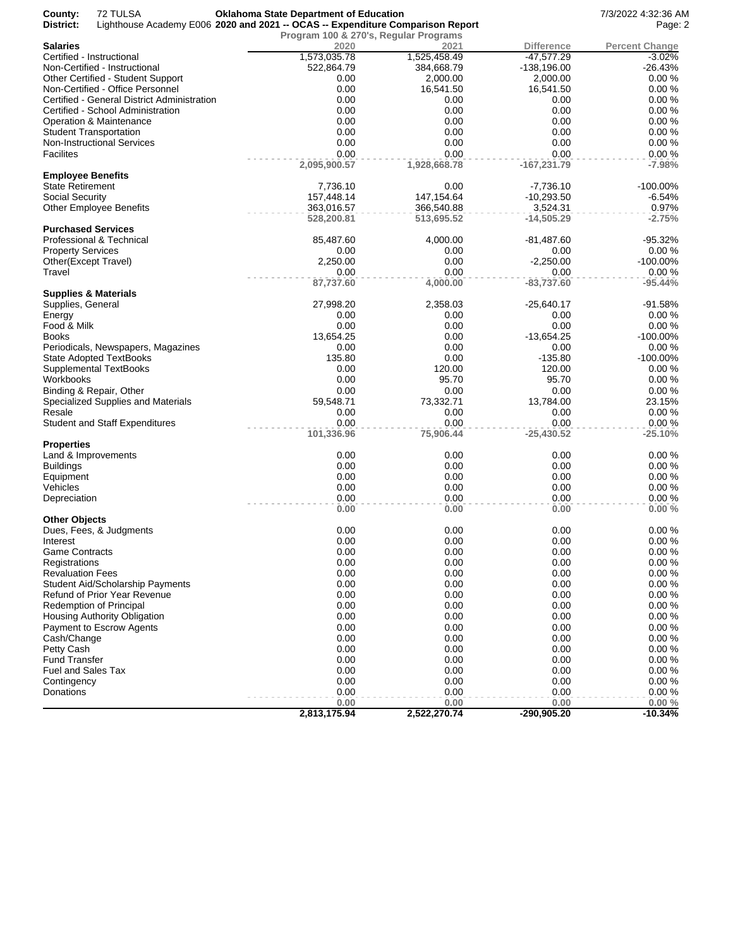| County:<br>District:      | 72 TULSA                                    | <b>Oklahoma State Department of Education</b><br>Lighthouse Academy E006 2020 and 2021 -- OCAS -- Expenditure Comparison Report |                                       |                   | 7/3/2022 4:32:36 AM<br>Page: 2 |
|---------------------------|---------------------------------------------|---------------------------------------------------------------------------------------------------------------------------------|---------------------------------------|-------------------|--------------------------------|
|                           |                                             |                                                                                                                                 | Program 100 & 270's, Regular Programs |                   |                                |
| <b>Salaries</b>           |                                             | 2020                                                                                                                            | 2021                                  | <b>Difference</b> | <b>Percent Change</b>          |
|                           | Certified - Instructional                   | 1,573,035.78                                                                                                                    | 1,525,458.49                          | $-47,577.29$      | $-3.02%$                       |
|                           | Non-Certified - Instructional               | 522,864.79                                                                                                                      | 384,668.79                            | -138,196.00       | $-26.43%$                      |
|                           | Other Certified - Student Support           | 0.00                                                                                                                            | 2,000.00                              | 2,000.00          | 0.00%                          |
|                           | Non-Certified - Office Personnel            | 0.00                                                                                                                            | 16,541.50                             | 16,541.50         | 0.00%                          |
|                           | Certified - General District Administration | 0.00                                                                                                                            | 0.00                                  | 0.00              | 0.00%                          |
|                           | Certified - School Administration           | 0.00                                                                                                                            | 0.00                                  | 0.00              | 0.00%                          |
|                           | Operation & Maintenance                     | 0.00<br>0.00                                                                                                                    | 0.00                                  | 0.00              | 0.00%<br>0.00%                 |
|                           | <b>Student Transportation</b>               | 0.00                                                                                                                            | 0.00<br>0.00                          | 0.00              | 0.00%                          |
|                           | <b>Non-Instructional Services</b>           | 0.00                                                                                                                            | 0.00                                  | 0.00<br>0.00      | 0.00%                          |
| Facilites                 |                                             | 2,095,900.57                                                                                                                    | 1,928,668.78                          | $-167,231.79$     | $-7.98%$                       |
| <b>Employee Benefits</b>  |                                             |                                                                                                                                 |                                       |                   |                                |
| <b>State Retirement</b>   |                                             | 7,736.10                                                                                                                        | 0.00                                  | $-7,736.10$       | $-100.00\%$                    |
| Social Security           |                                             | 157,448.14                                                                                                                      | 147, 154.64                           | $-10,293.50$      | $-6.54%$                       |
|                           | <b>Other Employee Benefits</b>              | 363,016.57                                                                                                                      | 366,540.88                            | 3,524.31          | 0.97%                          |
|                           |                                             | 528,200.81                                                                                                                      | 513,695.52                            | $-14,505.29$      | $-2.75%$                       |
|                           | <b>Purchased Services</b>                   |                                                                                                                                 |                                       |                   |                                |
|                           | Professional & Technical                    | 85,487.60                                                                                                                       | 4,000.00                              | $-81,487.60$      | -95.32%                        |
| <b>Property Services</b>  |                                             | 0.00                                                                                                                            | 0.00                                  | 0.00              | 0.00%                          |
| Other(Except Travel)      |                                             | 2,250.00                                                                                                                        | 0.00                                  | $-2,250.00$       | $-100.00\%$                    |
| Travel                    |                                             | 0.00                                                                                                                            | 0.00                                  | 0.00              | 0.00%                          |
|                           |                                             | 87,737.60                                                                                                                       | 4,000.00                              | $-83,737.60$      | $-95.44%$                      |
|                           | Supplies & Materials                        |                                                                                                                                 |                                       |                   |                                |
| Supplies, General         |                                             | 27,998.20                                                                                                                       | 2,358.03                              | $-25,640.17$      | $-91.58%$                      |
| Energy                    |                                             | 0.00                                                                                                                            | 0.00                                  | 0.00              | 0.00%                          |
| Food & Milk               |                                             | 0.00                                                                                                                            | 0.00                                  | 0.00              | 0.00%                          |
| Books                     |                                             | 13,654.25                                                                                                                       | 0.00                                  | $-13,654.25$      | $-100.00\%$                    |
|                           | Periodicals, Newspapers, Magazines          | 0.00                                                                                                                            | 0.00                                  | 0.00              | 0.00%                          |
|                           | State Adopted TextBooks                     | 135.80                                                                                                                          | 0.00                                  | $-135.80$         | $-100.00\%$                    |
|                           | Supplemental TextBooks                      | 0.00                                                                                                                            | 120.00                                | 120.00            | 0.00%                          |
| Workbooks                 |                                             | 0.00                                                                                                                            | 95.70                                 | 95.70             | 0.00%                          |
|                           | Binding & Repair, Other                     | 0.00                                                                                                                            | 0.00                                  | 0.00              | 0.00%                          |
|                           | Specialized Supplies and Materials          | 59,548.71                                                                                                                       | 73,332.71                             | 13,784.00         | 23.15%                         |
| Resale                    |                                             | 0.00                                                                                                                            | 0.00                                  | 0.00              | 0.00%                          |
|                           | <b>Student and Staff Expenditures</b>       | 0.00                                                                                                                            | 0.00                                  | 0.00              | 0.00%                          |
|                           |                                             | 101,336.96                                                                                                                      | 75,906.44                             | $-25,430.52$      | $-25.10%$                      |
| <b>Properties</b>         |                                             |                                                                                                                                 |                                       |                   |                                |
|                           | Land & Improvements                         | 0.00                                                                                                                            | 0.00                                  | 0.00              | 0.00%                          |
| <b>Buildings</b>          |                                             | 0.00                                                                                                                            | 0.00                                  | 0.00              | 0.00%                          |
| Equipment                 |                                             | 0.00                                                                                                                            | 0.00                                  | 0.00              | 0.00%                          |
| Vehicles                  |                                             | 0.00                                                                                                                            | 0.00                                  | 0.00              | 0.00%                          |
| Depreciation              |                                             | 0.00                                                                                                                            | 0.00                                  | 0.00              | 0.00%                          |
|                           |                                             | 0.00                                                                                                                            | 0.00                                  | 0.00              | 0.00%                          |
| <b>Other Objects</b>      |                                             |                                                                                                                                 |                                       |                   |                                |
|                           | Dues, Fees, & Judgments                     | 0.00                                                                                                                            | 0.00                                  | 0.00              | 0.00%                          |
| Interest                  |                                             | 0.00                                                                                                                            | 0.00                                  | 0.00              | 0.00%                          |
| <b>Game Contracts</b>     |                                             | 0.00                                                                                                                            | 0.00                                  | 0.00              | 0.00%                          |
| Registrations             |                                             | 0.00                                                                                                                            | 0.00                                  | 0.00              | 0.00%                          |
| <b>Revaluation Fees</b>   |                                             | 0.00                                                                                                                            | 0.00                                  | 0.00              | 0.00%                          |
|                           | <b>Student Aid/Scholarship Payments</b>     | 0.00                                                                                                                            | 0.00                                  | 0.00              | 0.00%                          |
|                           | Refund of Prior Year Revenue                | 0.00                                                                                                                            | 0.00                                  | 0.00              | 0.00%                          |
|                           | Redemption of Principal                     | 0.00                                                                                                                            | 0.00                                  | 0.00              | 0.00%                          |
|                           | Housing Authority Obligation                | 0.00                                                                                                                            | 0.00                                  | 0.00              | 0.00%                          |
|                           | Payment to Escrow Agents                    | 0.00                                                                                                                            | 0.00                                  | 0.00              | 0.00%                          |
| Cash/Change               |                                             | 0.00                                                                                                                            | 0.00                                  | 0.00              | 0.00%                          |
| Petty Cash                |                                             | 0.00                                                                                                                            | 0.00                                  | 0.00              | 0.00%                          |
| <b>Fund Transfer</b>      |                                             | 0.00                                                                                                                            | 0.00                                  | 0.00              | 0.00%                          |
| <b>Fuel and Sales Tax</b> |                                             | 0.00                                                                                                                            | 0.00                                  | 0.00              | 0.00%                          |
| Contingency               |                                             | 0.00                                                                                                                            | 0.00                                  | 0.00              | 0.00%                          |
| Donations                 |                                             | 0.00                                                                                                                            | 0.00                                  | 0.00              | 0.00%                          |
|                           |                                             | 0.00                                                                                                                            | 0.00                                  | 0.00              | 0.00%                          |
|                           |                                             | 2,813,175.94                                                                                                                    | 2,522,270.74                          | $-290,905.20$     | $-10.34%$                      |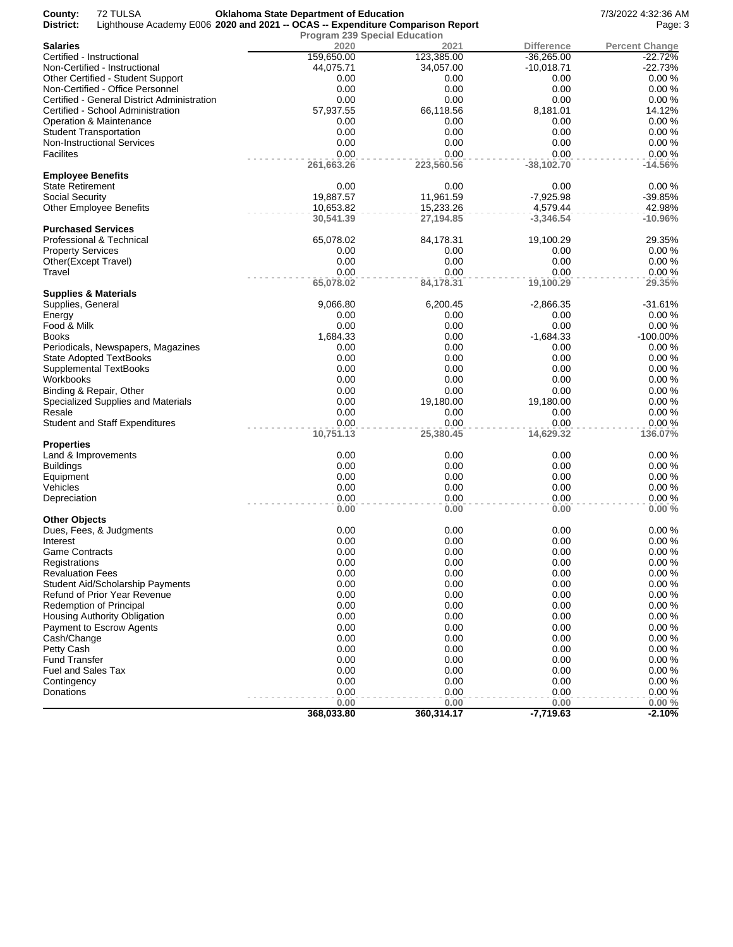| County:<br>District:     | 72 TULSA<br>Lighthouse Academy E006 2020 and 2021 -- OCAS -- Expenditure Comparison Report | <b>Oklahoma State Department of Education</b> |                        |                         | 7/3/2022 4:32:36 AM<br>Page: 3 |
|--------------------------|--------------------------------------------------------------------------------------------|-----------------------------------------------|------------------------|-------------------------|--------------------------------|
|                          |                                                                                            | <b>Program 239 Special Education</b>          |                        |                         |                                |
| <b>Salaries</b>          |                                                                                            | 2020                                          | 2021                   | <b>Difference</b>       | <b>Percent Change</b>          |
|                          | Certified - Instructional                                                                  | 159,650.00                                    | 123,385.00             | $-36,265.00$            | $-22.72%$                      |
|                          | Non-Certified - Instructional                                                              | 44,075.71                                     | 34,057.00              | $-10,018.71$            | $-22.73%$                      |
|                          | Other Certified - Student Support                                                          | 0.00                                          | 0.00                   | 0.00                    | 0.00%                          |
|                          | Non-Certified - Office Personnel                                                           | 0.00                                          | 0.00                   | 0.00                    | 0.00%                          |
|                          | Certified - General District Administration                                                | 0.00                                          | 0.00                   | 0.00                    | 0.00%                          |
|                          | Certified - School Administration                                                          | 57,937.55                                     | 66,118.56              | 8,181.01                | 14.12%                         |
|                          | Operation & Maintenance                                                                    | 0.00                                          | 0.00                   | 0.00                    | 0.00%                          |
|                          | <b>Student Transportation</b>                                                              | 0.00                                          | 0.00                   | 0.00                    | 0.00%                          |
| <b>Facilites</b>         | Non-Instructional Services                                                                 | 0.00<br>0.00                                  | 0.00<br>0.00           | 0.00<br>0.00            | 0.00%<br>0.00%                 |
|                          |                                                                                            | 261,663.26                                    | 223,560.56             | $-38,102.70$            | $-14.56%$                      |
| <b>Employee Benefits</b> |                                                                                            |                                               |                        |                         |                                |
| <b>State Retirement</b>  |                                                                                            | 0.00                                          | 0.00                   | 0.00                    | 0.00%                          |
| Social Security          |                                                                                            | 19,887.57                                     | 11,961.59              | $-7,925.98$             | $-39.85%$                      |
|                          | <b>Other Employee Benefits</b>                                                             | 10,653.82<br>30,541.39                        | 15,233.26<br>27,194.85 | 4,579.44<br>$-3,346.54$ | 42.98%<br>$-10.96%$            |
|                          | <b>Purchased Services</b>                                                                  |                                               |                        |                         |                                |
|                          | Professional & Technical                                                                   | 65,078.02                                     | 84,178.31              | 19,100.29               | 29.35%                         |
| <b>Property Services</b> |                                                                                            | 0.00                                          | 0.00                   | 0.00                    | 0.00%                          |
|                          | Other(Except Travel)                                                                       | 0.00                                          | 0.00                   | 0.00                    | 0.00%                          |
| Travel                   |                                                                                            | 0.00                                          | 0.00                   | 0.00                    | 0.00%                          |
|                          |                                                                                            | 65,078.02                                     | 84,178.31              | 19,100.29               | 29.35%                         |
| Supplies, General        | <b>Supplies &amp; Materials</b>                                                            | 9,066.80                                      | 6,200.45               | $-2,866.35$             | $-31.61%$                      |
| Energy                   |                                                                                            | 0.00                                          | 0.00                   | 0.00                    | 0.00%                          |
| Food & Milk              |                                                                                            | 0.00                                          | 0.00                   | 0.00                    | 0.00%                          |
| <b>Books</b>             |                                                                                            | 1,684.33                                      | 0.00                   | $-1,684.33$             | $-100.00\%$                    |
|                          | Periodicals, Newspapers, Magazines                                                         | 0.00                                          | 0.00                   | 0.00                    | 0.00%                          |
|                          | <b>State Adopted TextBooks</b>                                                             | 0.00                                          | 0.00                   | 0.00                    | 0.00%                          |
|                          | Supplemental TextBooks                                                                     | 0.00                                          | 0.00                   | 0.00                    | 0.00%                          |
| Workbooks                |                                                                                            | 0.00                                          | 0.00                   | 0.00                    | 0.00%                          |
|                          | Binding & Repair, Other                                                                    | 0.00                                          | 0.00                   | 0.00                    | 0.00%                          |
|                          | Specialized Supplies and Materials                                                         | 0.00                                          | 19,180.00              | 19,180.00               | 0.00%                          |
| Resale                   |                                                                                            | 0.00                                          | 0.00                   | 0.00                    | 0.00%                          |
|                          | <b>Student and Staff Expenditures</b>                                                      | 0.00                                          | 0.00                   | 0.00                    | 0.00%                          |
| <b>Properties</b>        |                                                                                            | 10,751.13                                     | 25,380.45              | 14,629.32               | 136.07%                        |
|                          | Land & Improvements                                                                        | 0.00                                          | 0.00                   | 0.00                    | 0.00%                          |
| <b>Buildings</b>         |                                                                                            | 0.00                                          | 0.00                   | 0.00                    | 0.00%                          |
| Equipment                |                                                                                            | 0.00                                          | 0.00                   | 0.00                    | 0.00%                          |
| Vehicles                 |                                                                                            | 0.00                                          | 0.00                   | 0.00                    | 0.00%                          |
| Depreciation             |                                                                                            | 0.00                                          | 0.00                   | 0.00                    | 0.00%                          |
|                          |                                                                                            | 0.00                                          | 0.00                   | 0.00                    | 0.00%                          |
| <b>Other Objects</b>     | Dues, Fees, & Judgments                                                                    | 0.00                                          | 0.00                   | 0.00                    | 0.00%                          |
| Interest                 |                                                                                            | 0.00                                          | 0.00                   | 0.00                    | 0.00%                          |
| <b>Game Contracts</b>    |                                                                                            | 0.00                                          | 0.00                   | 0.00                    | 0.00%                          |
| Registrations            |                                                                                            | 0.00                                          | 0.00                   | 0.00                    | 0.00%                          |
| <b>Revaluation Fees</b>  |                                                                                            | 0.00                                          | 0.00                   | 0.00                    | 0.00%                          |
|                          | <b>Student Aid/Scholarship Payments</b>                                                    | 0.00                                          | 0.00                   | 0.00                    | 0.00%                          |
|                          | Refund of Prior Year Revenue                                                               | 0.00                                          | 0.00                   | 0.00                    | 0.00%                          |
|                          | Redemption of Principal                                                                    | 0.00                                          | 0.00                   | 0.00                    | 0.00%                          |
|                          | Housing Authority Obligation                                                               | 0.00                                          | 0.00                   | 0.00                    | 0.00%                          |
|                          | Payment to Escrow Agents                                                                   | 0.00                                          | 0.00                   | 0.00                    | 0.00%                          |
| Cash/Change              |                                                                                            | 0.00                                          | 0.00                   | 0.00                    | 0.00%                          |
| Petty Cash               |                                                                                            | 0.00                                          | 0.00                   | 0.00                    | 0.00%                          |
| <b>Fund Transfer</b>     |                                                                                            | 0.00                                          | 0.00                   | 0.00                    | 0.00%                          |
| Fuel and Sales Tax       |                                                                                            | 0.00                                          | 0.00                   | 0.00                    | 0.00%                          |
| Contingency              |                                                                                            | 0.00                                          | 0.00                   | 0.00                    | 0.00%                          |
| Donations                |                                                                                            | 0.00                                          | 0.00                   | 0.00                    | 0.00 %                         |
|                          |                                                                                            | 0.00                                          | 0.00                   | 0.00                    | 0.00%                          |
|                          |                                                                                            | 368,033.80                                    | 360,314.17             | $-7,719.63$             | $-2.10%$                       |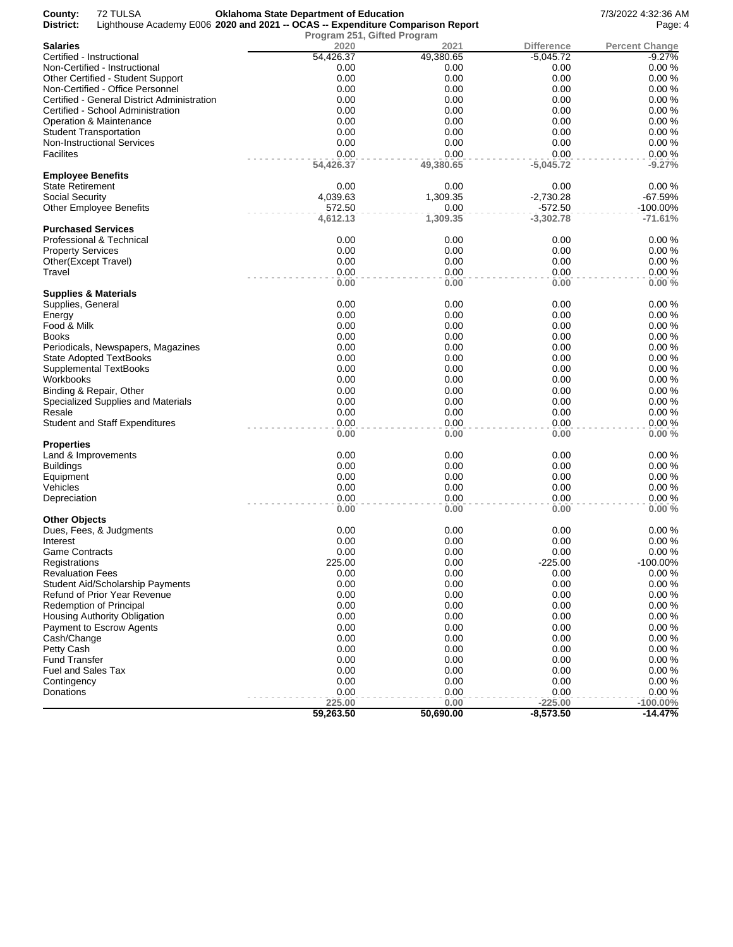| County:                  | 72 TULSA                                    | <b>Oklahoma State Department of Education</b>                                  |           |                   | 7/3/2022 4:32:36 AM   |
|--------------------------|---------------------------------------------|--------------------------------------------------------------------------------|-----------|-------------------|-----------------------|
| District:                |                                             | Lighthouse Academy E006 2020 and 2021 -- OCAS -- Expenditure Comparison Report |           |                   | Page: 4               |
|                          |                                             | Program 251, Gifted Program                                                    |           |                   |                       |
| <b>Salaries</b>          |                                             | 2020                                                                           | 2021      | <b>Difference</b> | <b>Percent Change</b> |
|                          | Certified - Instructional                   | 54,426.37                                                                      | 49,380.65 | $-5,045.72$       | $-9.27%$              |
|                          | Non-Certified - Instructional               | 0.00                                                                           | 0.00      | 0.00              | 0.00%                 |
|                          | Other Certified - Student Support           | 0.00                                                                           | 0.00      | 0.00              | 0.00%                 |
|                          | Non-Certified - Office Personnel            | 0.00                                                                           | 0.00      | 0.00              | 0.00%                 |
|                          | Certified - General District Administration | 0.00                                                                           | 0.00      | 0.00              | 0.00%                 |
|                          | Certified - School Administration           | 0.00                                                                           | 0.00      | 0.00              | 0.00%                 |
|                          | Operation & Maintenance                     | 0.00                                                                           | 0.00      | 0.00              | 0.00%                 |
|                          | <b>Student Transportation</b>               | 0.00                                                                           | 0.00      | 0.00              | 0.00%                 |
|                          | <b>Non-Instructional Services</b>           | 0.00                                                                           | 0.00      | 0.00              | 0.00%                 |
| Facilites                |                                             | 0.00                                                                           | 0.00      | 0.00              | 0.00%                 |
|                          |                                             | 54,426.37                                                                      | 49,380.65 | $-5,045.72$       | $-9.27%$              |
| <b>Employee Benefits</b> |                                             |                                                                                |           |                   |                       |
| <b>State Retirement</b>  |                                             | 0.00                                                                           | 0.00      | 0.00              | 0.00%                 |
| <b>Social Security</b>   |                                             | 4,039.63                                                                       | 1,309.35  | $-2,730.28$       | $-67.59%$             |
|                          | <b>Other Employee Benefits</b>              | 572.50                                                                         | 0.00      | $-572.50$         | -100.00%              |
|                          |                                             | 4,612.13                                                                       | 1,309.35  | $-3,302.78$       | $-71.61%$             |
|                          | <b>Purchased Services</b>                   |                                                                                |           |                   |                       |
|                          | Professional & Technical                    | 0.00                                                                           | 0.00      | 0.00              | 0.00%                 |
| <b>Property Services</b> |                                             | 0.00                                                                           | 0.00      | 0.00              | 0.00%                 |
|                          | Other(Except Travel)                        | 0.00                                                                           | 0.00      | 0.00              | 0.00%                 |
| Travel                   |                                             | 0.00                                                                           | 0.00      | 0.00              | 0.00%                 |
|                          |                                             | 0.00                                                                           | 0.00      | 0.00              | 0.00%                 |
|                          | <b>Supplies &amp; Materials</b>             |                                                                                |           |                   |                       |
| Supplies, General        |                                             | 0.00                                                                           | 0.00      | 0.00              | 0.00%                 |
| Energy                   |                                             | 0.00                                                                           | 0.00      | 0.00              | 0.00%                 |
| Food & Milk              |                                             | 0.00                                                                           | 0.00      | 0.00              | 0.00%                 |
| Books                    |                                             | 0.00                                                                           | 0.00      | 0.00              | 0.00%                 |
|                          | Periodicals, Newspapers, Magazines          | 0.00                                                                           | 0.00      | 0.00              | 0.00%                 |
|                          | <b>State Adopted TextBooks</b>              | 0.00                                                                           | 0.00      | 0.00              | 0.00%                 |
|                          | <b>Supplemental TextBooks</b>               | 0.00                                                                           | 0.00      | 0.00              | 0.00%                 |
| Workbooks                |                                             | 0.00                                                                           | 0.00      | 0.00              | 0.00%                 |
|                          | Binding & Repair, Other                     | 0.00                                                                           | 0.00      | 0.00              | 0.00%                 |
|                          | Specialized Supplies and Materials          | 0.00                                                                           | 0.00      | 0.00              | 0.00%                 |
| Resale                   |                                             | 0.00                                                                           | 0.00      | 0.00              | 0.00%                 |
|                          | <b>Student and Staff Expenditures</b>       | 0.00                                                                           | 0.00      | 0.00              | 0.00%                 |
|                          |                                             | 0.00                                                                           | 0.00      | 0.00              | 0.00%                 |
| <b>Properties</b>        |                                             |                                                                                |           |                   |                       |
|                          | Land & Improvements                         | 0.00                                                                           | 0.00      | 0.00              | 0.00%                 |
| <b>Buildings</b>         |                                             | 0.00                                                                           | 0.00      | 0.00              | 0.00%                 |
| Equipment                |                                             | 0.00                                                                           | 0.00      | 0.00              | 0.00%                 |
| Vehicles                 |                                             | 0.00                                                                           | 0.00      | 0.00              | 0.00%                 |
| Depreciation             |                                             | 0.00                                                                           | 0.00      | 0.00              | 0.00%                 |
|                          |                                             | 0.00                                                                           | 0.00      | 0.00              | 0.00%                 |
| <b>Other Objects</b>     |                                             |                                                                                |           |                   |                       |
|                          | Dues, Fees, & Judgments                     | 0.00                                                                           | 0.00      | 0.00              | 0.00%                 |
| Interest                 |                                             | 0.00                                                                           | 0.00      | 0.00              | 0.00%                 |
| <b>Game Contracts</b>    |                                             | 0.00                                                                           | 0.00      | 0.00              | 0.00%                 |
| Registrations            |                                             | 225.00                                                                         | 0.00      | $-225.00$         | $-100.00\%$           |
| <b>Revaluation Fees</b>  |                                             | 0.00                                                                           | 0.00      | 0.00              | 0.00%                 |
|                          | <b>Student Aid/Scholarship Payments</b>     | 0.00                                                                           | 0.00      | 0.00              | 0.00%                 |
|                          | Refund of Prior Year Revenue                | 0.00                                                                           | 0.00      | 0.00              | 0.00%                 |
|                          | Redemption of Principal                     | 0.00                                                                           | 0.00      | 0.00              | 0.00%                 |
|                          | Housing Authority Obligation                | 0.00                                                                           | 0.00      | 0.00              | 0.00%                 |
|                          | Payment to Escrow Agents                    | 0.00                                                                           | 0.00      | 0.00              | 0.00%                 |
| Cash/Change              |                                             | 0.00                                                                           | 0.00      | 0.00              | 0.00%                 |
| Petty Cash               |                                             | 0.00                                                                           | 0.00      | 0.00              | 0.00%                 |
| <b>Fund Transfer</b>     |                                             | 0.00                                                                           | 0.00      | 0.00              | 0.00%                 |
| Fuel and Sales Tax       |                                             | 0.00                                                                           | 0.00      | 0.00              | 0.00%                 |
| Contingency              |                                             | 0.00                                                                           | 0.00      | 0.00              | 0.00%                 |
| Donations                |                                             | 0.00                                                                           | 0.00      | 0.00              | 0.00%                 |
|                          |                                             | 225.00                                                                         | 0.00      | $-225.00$         | $-100.00\%$           |
|                          |                                             | 59,263.50                                                                      | 50,690.00 | $-8,573.50$       | $-14.47%$             |
|                          |                                             |                                                                                |           |                   |                       |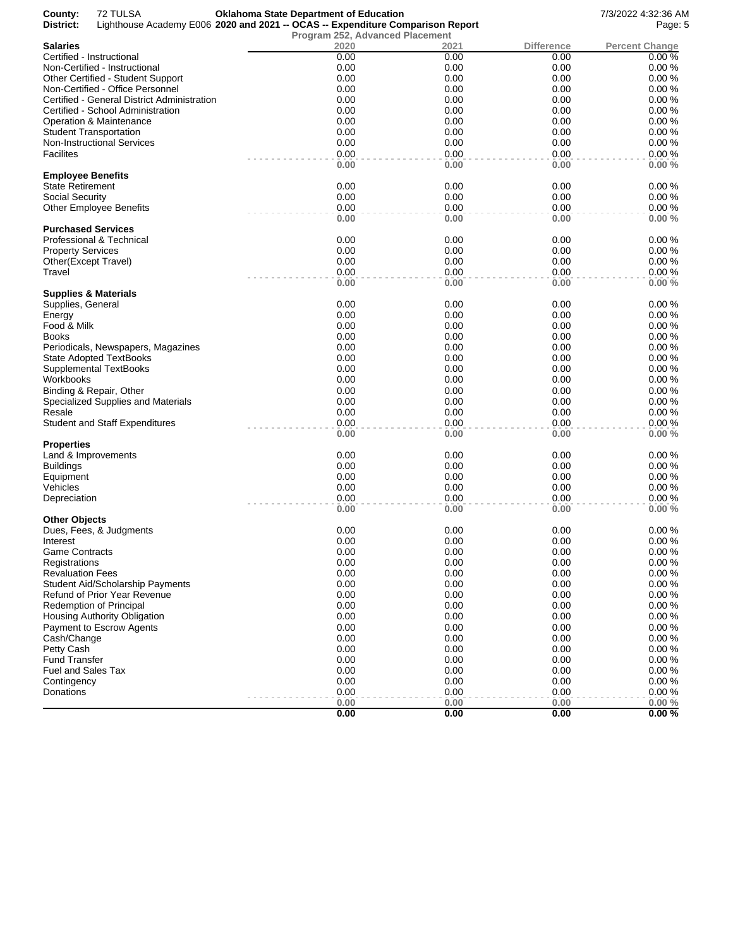| County:<br>District:     | 72 TULSA<br>Lighthouse Academy E006 2020 and 2021 -- OCAS -- Expenditure Comparison Report | <b>Oklahoma State Department of Education</b> |              |              | 7/3/2022 4:32:36 AM<br>Page: 5 |
|--------------------------|--------------------------------------------------------------------------------------------|-----------------------------------------------|--------------|--------------|--------------------------------|
| <b>Salaries</b>          |                                                                                            | Program 252, Advanced Placement<br>2020       | 2021         | Difference   | <b>Percent Change</b>          |
|                          | Certified - Instructional                                                                  | 0.00                                          | 0.00         | 0.00         | 0.00%                          |
|                          | Non-Certified - Instructional                                                              | 0.00                                          | 0.00         | 0.00         | 0.00%                          |
|                          | Other Certified - Student Support                                                          | 0.00                                          | 0.00         | 0.00         | 0.00%                          |
|                          | Non-Certified - Office Personnel                                                           | 0.00                                          | 0.00         | 0.00         | 0.00%                          |
|                          | Certified - General District Administration                                                | 0.00                                          | 0.00         | 0.00         | 0.00%                          |
|                          | Certified - School Administration                                                          | 0.00                                          | 0.00         | 0.00         | 0.00%                          |
|                          | Operation & Maintenance                                                                    | 0.00                                          | 0.00         | 0.00         | 0.00%                          |
|                          |                                                                                            |                                               |              |              |                                |
|                          | <b>Student Transportation</b>                                                              | 0.00                                          | 0.00         | 0.00         | 0.00%                          |
|                          | <b>Non-Instructional Services</b>                                                          | 0.00                                          | 0.00         | 0.00         | 0.00%                          |
| <b>Facilites</b>         |                                                                                            | 0.00<br>0.00                                  | 0.00<br>0.00 | 0.00<br>0.00 | 0.00%<br>0.00%                 |
| <b>Employee Benefits</b> |                                                                                            |                                               |              |              |                                |
| <b>State Retirement</b>  |                                                                                            | 0.00                                          | 0.00         | 0.00         | 0.00%                          |
| Social Security          |                                                                                            | 0.00                                          | 0.00         | 0.00         | 0.00%                          |
|                          | <b>Other Employee Benefits</b>                                                             | 0.00                                          | 0.00         | 0.00         | 0.00%                          |
|                          |                                                                                            | 0.00                                          | 0.00         | 0.00         | 0.00%                          |
|                          | <b>Purchased Services</b>                                                                  |                                               |              |              |                                |
|                          | Professional & Technical                                                                   | 0.00                                          | 0.00         | 0.00         | 0.00%                          |
| <b>Property Services</b> |                                                                                            | 0.00                                          | 0.00         | 0.00         | 0.00%                          |
|                          | Other(Except Travel)                                                                       | 0.00                                          | 0.00         | 0.00         | 0.00%                          |
| Travel                   |                                                                                            | 0.00                                          | 0.00         | 0.00         | 0.00%                          |
|                          | Supplies & Materials                                                                       | 0.00                                          | 0.00         | 0.00         | 0.00%                          |
| Supplies, General        |                                                                                            | 0.00                                          | 0.00         | 0.00         | 0.00%                          |
| Energy                   |                                                                                            | 0.00                                          | 0.00         | 0.00         | 0.00%                          |
| Food & Milk              |                                                                                            | 0.00                                          | 0.00         | 0.00         | 0.00%                          |
| <b>Books</b>             |                                                                                            | 0.00                                          | 0.00         | 0.00         | 0.00%                          |
|                          | Periodicals, Newspapers, Magazines                                                         | 0.00                                          | 0.00         | 0.00         | 0.00%                          |
|                          | <b>State Adopted TextBooks</b>                                                             | 0.00                                          | 0.00         | 0.00         | 0.00%                          |
|                          | <b>Supplemental TextBooks</b>                                                              | 0.00                                          | 0.00         | 0.00         | 0.00%                          |
| Workbooks                |                                                                                            | 0.00                                          | 0.00         | 0.00         | 0.00%                          |
|                          | Binding & Repair, Other                                                                    | 0.00                                          | 0.00         | 0.00         | 0.00%                          |
|                          | Specialized Supplies and Materials                                                         | 0.00                                          | 0.00         | 0.00         | 0.00%                          |
| Resale                   |                                                                                            | 0.00                                          | 0.00         | 0.00         | 0.00%                          |
|                          | <b>Student and Staff Expenditures</b>                                                      | 0.00                                          | 0.00         | 0.00         | 0.00%                          |
|                          |                                                                                            | 0.00                                          | 0.00         | 0.00         | 0.00%                          |
| Properties               |                                                                                            |                                               |              |              |                                |
|                          | Land & Improvements                                                                        | 0.00                                          | 0.00         | 0.00         | 0.00%                          |
| <b>Buildings</b>         |                                                                                            | 0.00                                          | 0.00         | 0.00         | 0.00%                          |
| Equipment                |                                                                                            | 0.00                                          | 0.00         | 0.00         | 0.00%                          |
| Vehicles                 |                                                                                            | 0.00                                          | 0.00         | 0.00         | 0.00%                          |
| Depreciation             |                                                                                            | 0.00                                          | 0.00         | 0.00         | 0.00%                          |
|                          |                                                                                            | 0.00                                          | 0.00         | 0.00         | 0.00%                          |
| Other Objects            |                                                                                            | 0.00                                          | 0.00         | 0.00         |                                |
|                          | Dues, Fees, & Judgments                                                                    | 0.00                                          |              | 0.00         | 0.00%<br>0.00%                 |
| Interest                 |                                                                                            |                                               | 0.00         |              |                                |
| Game Contracts           |                                                                                            | 0.00                                          | 0.00         | 0.00         | 0.00%<br>0.00%                 |
| Registrations            |                                                                                            | 0.00                                          | 0.00         | 0.00         |                                |
| <b>Revaluation Fees</b>  |                                                                                            | 0.00                                          | 0.00         | 0.00         | 0.00%                          |
|                          | Student Aid/Scholarship Payments                                                           | 0.00                                          | 0.00         | 0.00         | 0.00%                          |
|                          | Refund of Prior Year Revenue                                                               | 0.00                                          | 0.00         | 0.00         | 0.00%                          |
|                          | <b>Redemption of Principal</b>                                                             | 0.00                                          | 0.00         | 0.00         | 0.00%                          |
|                          | Housing Authority Obligation                                                               | 0.00                                          | 0.00         | 0.00         | 0.00%                          |
|                          | Payment to Escrow Agents                                                                   | 0.00                                          | 0.00         | 0.00         | 0.00%                          |
| Cash/Change              |                                                                                            | 0.00                                          | 0.00         | 0.00         | 0.00%                          |
| Petty Cash               |                                                                                            | 0.00                                          | 0.00         | 0.00         | 0.00%                          |
| <b>Fund Transfer</b>     |                                                                                            | 0.00                                          | 0.00         | 0.00         | 0.00%                          |
| Fuel and Sales Tax       |                                                                                            | 0.00                                          | 0.00         | 0.00         | 0.00%                          |
| Contingency              |                                                                                            | 0.00                                          | 0.00         | 0.00         | 0.00%                          |
| Donations                |                                                                                            | 0.00                                          | 0.00         | 0.00         | 0.00%                          |
|                          |                                                                                            | 0.00                                          | 0.00         | 0.00         | 0.00%                          |
|                          |                                                                                            | 0.00                                          | 0.00         | 0.00         | 0.00%                          |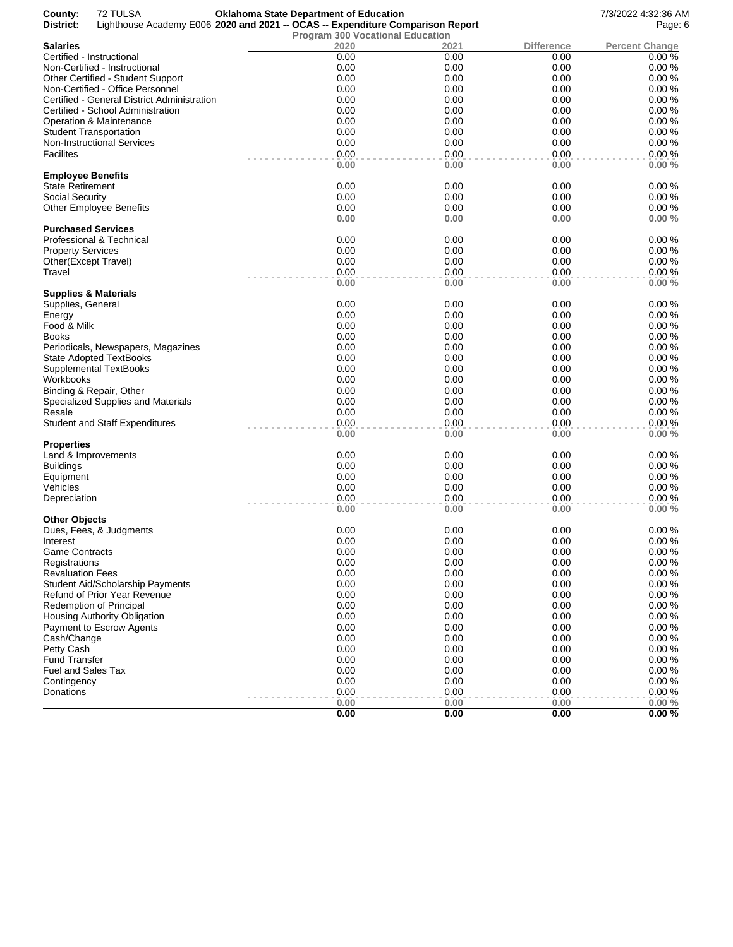| County:<br>District:            | 72 TULSA<br>Lighthouse Academy E006 2020 and 2021 -- OCAS -- Expenditure Comparison Report | <b>Oklahoma State Department of Education</b> |              |                   | 7/3/2022 4:32:36 AM<br>Page: 6 |
|---------------------------------|--------------------------------------------------------------------------------------------|-----------------------------------------------|--------------|-------------------|--------------------------------|
|                                 |                                                                                            | <b>Program 300 Vocational Education</b>       |              |                   |                                |
| <b>Salaries</b>                 |                                                                                            | 2020                                          | 2021         | <b>Difference</b> | <b>Percent Change</b>          |
|                                 | Certified - Instructional                                                                  | 0.00                                          | 0.00         | 0.00              | 0.00%                          |
|                                 | Non-Certified - Instructional                                                              | 0.00                                          | 0.00         | 0.00              | 0.00%                          |
|                                 | Other Certified - Student Support                                                          | 0.00                                          | 0.00         | 0.00              | 0.00%                          |
|                                 | Non-Certified - Office Personnel                                                           | 0.00                                          | 0.00         | 0.00              | 0.00%                          |
|                                 | Certified - General District Administration                                                | 0.00                                          | 0.00         | 0.00              | 0.00%                          |
|                                 | Certified - School Administration                                                          | 0.00                                          | 0.00         | 0.00              | 0.00%                          |
|                                 | <b>Operation &amp; Maintenance</b>                                                         | 0.00                                          | 0.00         | 0.00              | 0.00%                          |
|                                 | <b>Student Transportation</b>                                                              | 0.00                                          | 0.00         | 0.00              | 0.00%                          |
|                                 | <b>Non-Instructional Services</b>                                                          | 0.00                                          | 0.00         | 0.00              | 0.00%                          |
| Facilites                       |                                                                                            | 0.00                                          | 0.00         | 0.00              | 0.00%                          |
|                                 |                                                                                            | 0.00                                          | 0.00         | 0.00              | 0.00%                          |
| <b>Employee Benefits</b>        |                                                                                            |                                               |              |                   |                                |
| <b>State Retirement</b>         |                                                                                            | 0.00                                          | 0.00         | 0.00              | 0.00%                          |
| <b>Social Security</b>          |                                                                                            | 0.00                                          | 0.00         | 0.00              | 0.00%                          |
|                                 | <b>Other Employee Benefits</b>                                                             | 0.00                                          | 0.00         | 0.00              | 0.00%                          |
|                                 |                                                                                            | 0.00                                          | 0.00         | 0.00              | 0.00%                          |
|                                 | <b>Purchased Services</b>                                                                  |                                               |              |                   |                                |
|                                 | Professional & Technical                                                                   | 0.00                                          | 0.00         | 0.00              | 0.00%                          |
| <b>Property Services</b>        |                                                                                            | 0.00                                          | 0.00         | 0.00              | 0.00%                          |
|                                 | Other(Except Travel)                                                                       | 0.00                                          | 0.00         | 0.00              | 0.00%                          |
| Travel                          |                                                                                            | 0.00                                          | 0.00         | 0.00              | 0.00%                          |
|                                 |                                                                                            | 0.00                                          | 0.00         | 0.00              | 0.00%                          |
|                                 | Supplies & Materials                                                                       |                                               |              |                   |                                |
| Supplies, General               |                                                                                            | 0.00                                          | 0.00         | 0.00              | 0.00%                          |
| Energy                          |                                                                                            | 0.00                                          | 0.00         | 0.00              | 0.00%                          |
| Food & Milk                     |                                                                                            | 0.00                                          | 0.00         | 0.00              | 0.00%                          |
| <b>Books</b>                    |                                                                                            | 0.00                                          | 0.00         | 0.00              | 0.00%                          |
|                                 | Periodicals, Newspapers, Magazines                                                         | 0.00                                          | 0.00         | 0.00              | 0.00%                          |
|                                 | <b>State Adopted TextBooks</b>                                                             | 0.00                                          | 0.00         | 0.00              | 0.00%                          |
|                                 | <b>Supplemental TextBooks</b>                                                              | 0.00                                          | 0.00         | 0.00              | 0.00%                          |
| Workbooks                       |                                                                                            | 0.00                                          | 0.00         | 0.00              | 0.00%                          |
|                                 | Binding & Repair, Other                                                                    | 0.00                                          | 0.00         | 0.00              | 0.00%                          |
|                                 | Specialized Supplies and Materials                                                         | 0.00                                          | 0.00         | 0.00              | 0.00%                          |
| Resale                          |                                                                                            | 0.00                                          | 0.00         | 0.00              | 0.00%                          |
|                                 | <b>Student and Staff Expenditures</b>                                                      | 0.00                                          | 0.00         | 0.00              | 0.00%                          |
|                                 |                                                                                            | 0.00                                          | 0.00         | 0.00              | 0.00%                          |
| <b>Properties</b>               |                                                                                            |                                               |              |                   |                                |
|                                 | Land & Improvements                                                                        | 0.00                                          | 0.00         | 0.00              | 0.00%                          |
| <b>Buildings</b>                |                                                                                            | 0.00                                          | 0.00         | 0.00              | 0.00%                          |
| Equipment                       |                                                                                            | 0.00                                          | 0.00         | 0.00              | 0.00%                          |
| Vehicles                        |                                                                                            | 0.00<br>0.00                                  | 0.00         | 0.00              | 0.00%                          |
| Depreciation                    |                                                                                            |                                               | 0.00<br>0.00 | 0.00<br>0.00      | 0.00%<br>0.00%                 |
| <b>Other Objects</b>            |                                                                                            | 0.00                                          |              |                   |                                |
|                                 | Dues, Fees, & Judgments                                                                    | 0.00                                          | 0.00         | 0.00              | 0.00%                          |
|                                 |                                                                                            | 0.00                                          | 0.00         | 0.00              | 0.00%                          |
| Interest                        |                                                                                            | 0.00                                          |              |                   | 0.00%                          |
| Game Contracts<br>Registrations |                                                                                            | 0.00                                          | 0.00<br>0.00 | 0.00<br>0.00      | 0.00%                          |
|                                 |                                                                                            |                                               |              |                   |                                |
| <b>Revaluation Fees</b>         |                                                                                            | 0.00                                          | 0.00         | 0.00              | 0.00%                          |
|                                 | <b>Student Aid/Scholarship Payments</b>                                                    | 0.00                                          | 0.00         | 0.00              | 0.00%                          |
|                                 | Refund of Prior Year Revenue                                                               | 0.00                                          | 0.00         | 0.00              | 0.00%                          |
|                                 | Redemption of Principal                                                                    | 0.00                                          | 0.00         | 0.00              | 0.00%                          |
|                                 | Housing Authority Obligation                                                               | 0.00                                          | 0.00         | 0.00              | 0.00%                          |
|                                 | Payment to Escrow Agents                                                                   | 0.00                                          | 0.00         | 0.00              | 0.00%                          |
| Cash/Change                     |                                                                                            | 0.00                                          | 0.00         | 0.00              | 0.00%                          |
| Petty Cash                      |                                                                                            | 0.00                                          | 0.00         | 0.00              | 0.00%                          |
| <b>Fund Transfer</b>            |                                                                                            | 0.00                                          | 0.00         | 0.00              | 0.00%                          |
| <b>Fuel and Sales Tax</b>       |                                                                                            | 0.00                                          | 0.00         | 0.00              | 0.00%                          |
| Contingency                     |                                                                                            | 0.00                                          | 0.00         | 0.00              | 0.00%                          |
| Donations                       |                                                                                            | 0.00                                          | 0.00         | 0.00              | 0.00%                          |
|                                 |                                                                                            | 0.00                                          | 0.00         | 0.00              | 0.00%                          |
|                                 |                                                                                            | 0.00                                          | 0.00         | 0.00              | 0.00%                          |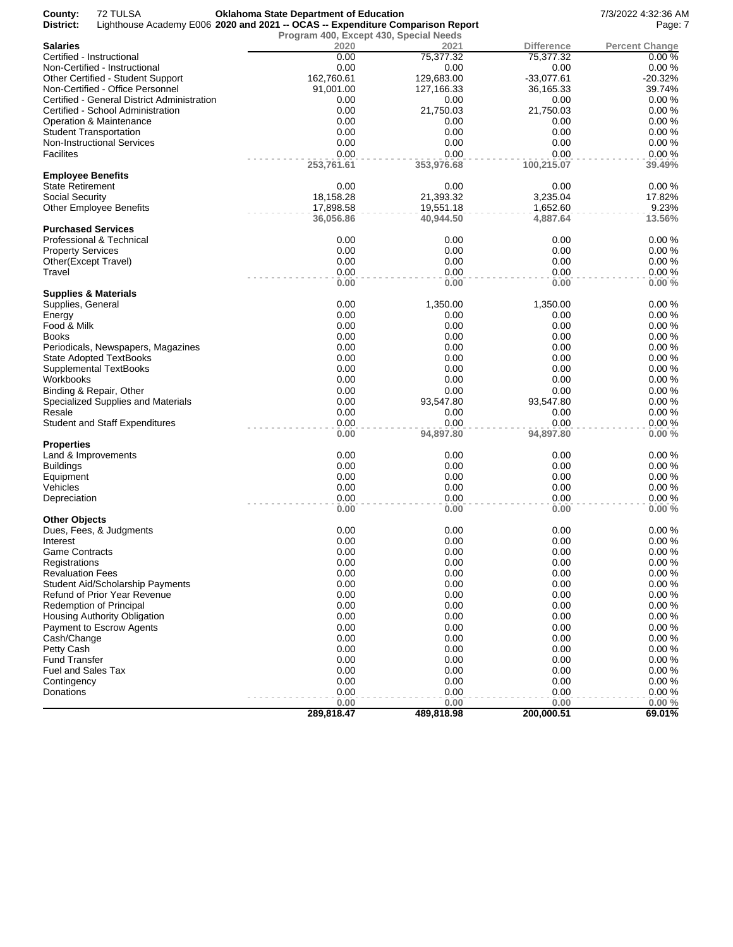| County:<br>District:     | 72 TULSA<br>Lighthouse Academy E006 2020 and 2021 -- OCAS -- Expenditure Comparison Report | <b>Oklahoma State Department of Education</b> |                    |                    | 7/3/2022 4:32:36 AM<br>Page: 7 |
|--------------------------|--------------------------------------------------------------------------------------------|-----------------------------------------------|--------------------|--------------------|--------------------------------|
|                          |                                                                                            | Program 400, Except 430, Special Needs        |                    |                    |                                |
| <b>Salaries</b>          |                                                                                            | 2020                                          | 2021               | <b>Difference</b>  | <b>Percent Change</b>          |
|                          | Certified - Instructional                                                                  | 0.00                                          | 75,377.32          | 75,377.32          | 0.00%                          |
|                          | Non-Certified - Instructional                                                              | 0.00                                          | 0.00               | 0.00               | 0.00%                          |
|                          | Other Certified - Student Support                                                          | 162,760.61                                    | 129,683.00         | $-33,077.61$       | $-20.32%$                      |
|                          | Non-Certified - Office Personnel                                                           | 91,001.00                                     | 127,166.33         | 36,165.33          | 39.74%                         |
|                          | Certified - General District Administration                                                | 0.00                                          | 0.00               | 0.00               | 0.00%                          |
|                          | Certified - School Administration                                                          | 0.00                                          | 21,750.03          | 21,750.03          | 0.00%                          |
|                          | Operation & Maintenance                                                                    | 0.00                                          | 0.00               | 0.00               | 0.00%                          |
|                          | <b>Student Transportation</b>                                                              | 0.00                                          | 0.00               | 0.00               | 0.00%                          |
|                          | Non-Instructional Services                                                                 | 0.00                                          | 0.00               | 0.00               | 0.00%                          |
| <b>Facilites</b>         |                                                                                            | 0.00<br>253,761.61                            | 0.00<br>353,976.68 | 0.00<br>100,215.07 | 0.00%<br>39.49%                |
| <b>Employee Benefits</b> |                                                                                            |                                               |                    |                    |                                |
| <b>State Retirement</b>  |                                                                                            | 0.00                                          | 0.00               | 0.00               | 0.00%                          |
| <b>Social Security</b>   |                                                                                            | 18,158.28                                     | 21,393.32          | 3,235.04           | 17.82%                         |
|                          | <b>Other Employee Benefits</b>                                                             | 17,898.58                                     | 19,551.18          | 1,652.60           | 9.23%                          |
|                          |                                                                                            | 36,056.86                                     | 40,944.50          | 4,887.64           | 13.56%                         |
|                          | <b>Purchased Services</b>                                                                  |                                               |                    |                    |                                |
|                          | Professional & Technical                                                                   | 0.00                                          | 0.00               | 0.00               | 0.00%                          |
| <b>Property Services</b> |                                                                                            | 0.00                                          | 0.00               | 0.00               | 0.00%                          |
|                          | Other(Except Travel)                                                                       | 0.00                                          | 0.00               | 0.00               | 0.00%                          |
| Travel                   |                                                                                            | 0.00<br>0.00                                  | 0.00<br>0.00       | 0.00<br>0.00       | 0.00%<br>0.00%                 |
|                          | <b>Supplies &amp; Materials</b>                                                            |                                               |                    |                    |                                |
| Supplies, General        |                                                                                            | 0.00                                          | 1,350.00           | 1,350.00           | 0.00%                          |
| Energy                   |                                                                                            | 0.00                                          | 0.00               | 0.00               | 0.00%                          |
| Food & Milk              |                                                                                            | 0.00                                          | 0.00               | 0.00               | 0.00%                          |
| Books                    |                                                                                            | 0.00                                          | 0.00               | 0.00               | 0.00%                          |
|                          | Periodicals, Newspapers, Magazines                                                         | 0.00                                          | 0.00               | 0.00               | 0.00%                          |
|                          | <b>State Adopted TextBooks</b>                                                             | 0.00                                          | 0.00               | 0.00               | 0.00%                          |
|                          | Supplemental TextBooks                                                                     | 0.00                                          | 0.00               | 0.00               | 0.00%                          |
| Workbooks                |                                                                                            | 0.00                                          | 0.00               | 0.00               | 0.00%                          |
|                          | Binding & Repair, Other                                                                    | 0.00                                          | 0.00               | 0.00               | 0.00%                          |
|                          | Specialized Supplies and Materials                                                         | 0.00                                          | 93,547.80          | 93,547.80          | 0.00%                          |
| Resale                   |                                                                                            | 0.00                                          | 0.00               | 0.00               | 0.00%                          |
|                          | <b>Student and Staff Expenditures</b>                                                      | 0.00<br>0.00                                  | 0.00<br>94,897.80  | 0.00<br>94,897.80  | 0.00%<br>0.00%                 |
| <b>Properties</b>        |                                                                                            |                                               |                    |                    |                                |
|                          | Land & Improvements                                                                        | 0.00                                          | 0.00               | 0.00               | 0.00%                          |
| <b>Buildings</b>         |                                                                                            | 0.00                                          | 0.00               | 0.00               | 0.00%                          |
| Equipment                |                                                                                            | 0.00                                          | 0.00               | 0.00               | 0.00%                          |
| Vehicles                 |                                                                                            | 0.00                                          | 0.00               | 0.00               | 0.00%                          |
| Depreciation             |                                                                                            | 0.00                                          | 0.00               | 0.00               | 0.00%                          |
|                          |                                                                                            | 0.00                                          | 0.00               | 0.00               | 0.00%                          |
| <b>Other Objects</b>     | Dues, Fees, & Judgments                                                                    | 0.00                                          | 0.00               | 0.00               | 0.00%                          |
| Interest                 |                                                                                            | 0.00                                          | 0.00               | 0.00               | 0.00%                          |
| <b>Game Contracts</b>    |                                                                                            | 0.00                                          | 0.00               | 0.00               | 0.00%                          |
| Registrations            |                                                                                            | 0.00                                          | 0.00               | 0.00               | 0.00%                          |
| <b>Revaluation Fees</b>  |                                                                                            | 0.00                                          | 0.00               | 0.00               | 0.00%                          |
|                          | <b>Student Aid/Scholarship Payments</b>                                                    | 0.00                                          | 0.00               | 0.00               | 0.00%                          |
|                          | <b>Refund of Prior Year Revenue</b>                                                        | 0.00                                          | 0.00               | 0.00               | 0.00%                          |
|                          | Redemption of Principal                                                                    | 0.00                                          | 0.00               | 0.00               | 0.00%                          |
|                          | Housing Authority Obligation                                                               | 0.00                                          | 0.00               | 0.00               | 0.00%                          |
|                          | <b>Payment to Escrow Agents</b>                                                            | 0.00                                          | 0.00               | 0.00               | 0.00%                          |
| Cash/Change              |                                                                                            | 0.00                                          | 0.00               | 0.00               | 0.00%                          |
| Petty Cash               |                                                                                            | 0.00                                          | 0.00               | 0.00               | 0.00%                          |
| <b>Fund Transfer</b>     |                                                                                            | 0.00                                          | 0.00               | 0.00               | 0.00%                          |
| Fuel and Sales Tax       |                                                                                            | 0.00                                          | 0.00               | 0.00               | 0.00%                          |
| Contingency              |                                                                                            | 0.00                                          | 0.00               | 0.00               | 0.00%                          |
| Donations                |                                                                                            | 0.00                                          | 0.00               | 0.00               | 0.00%                          |
|                          |                                                                                            | 0.00                                          | 0.00               | 0.00               | 0.00%                          |
|                          |                                                                                            | 289,818.47                                    | 489,818.98         | 200,000.51         | 69.01%                         |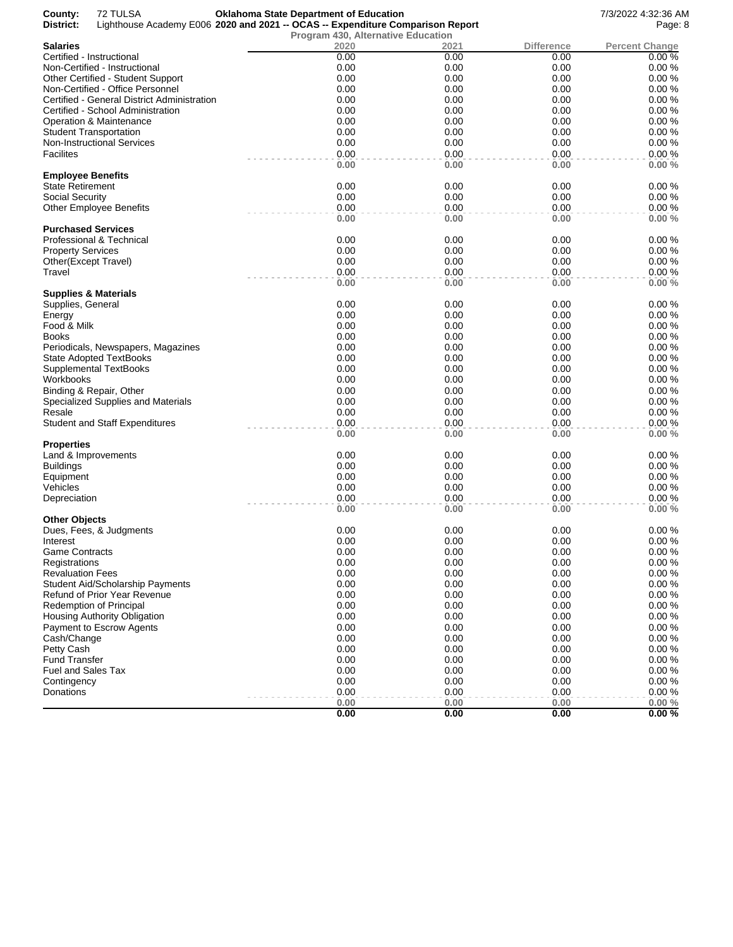| 72 TULSA<br>County:<br>District:            | <b>Oklahoma State Department of Education</b><br>Lighthouse Academy E006 2020 and 2021 -- OCAS -- Expenditure Comparison Report |              |              | 7/3/2022 4:32:36 AM<br>Page: 8 |
|---------------------------------------------|---------------------------------------------------------------------------------------------------------------------------------|--------------|--------------|--------------------------------|
|                                             | <b>Program 430, Alternative Education</b>                                                                                       |              |              |                                |
| <b>Salaries</b>                             | 2020                                                                                                                            | 2021         | Difference   | <b>Percent Change</b>          |
| Certified - Instructional                   | 0.00                                                                                                                            | 0.00         | 0.00         | 0.00%                          |
| Non-Certified - Instructional               | 0.00                                                                                                                            | 0.00         | 0.00         | 0.00%                          |
| Other Certified - Student Support           | 0.00                                                                                                                            | 0.00         | 0.00         | 0.00%                          |
| Non-Certified - Office Personnel            | 0.00                                                                                                                            | 0.00         | 0.00         | 0.00%                          |
| Certified - General District Administration | 0.00                                                                                                                            | 0.00         | 0.00         | 0.00%                          |
| Certified - School Administration           | 0.00                                                                                                                            | 0.00         | 0.00         | 0.00%                          |
| Operation & Maintenance                     | 0.00                                                                                                                            | 0.00         | 0.00         | 0.00%                          |
| <b>Student Transportation</b>               | 0.00                                                                                                                            | 0.00         | 0.00         | 0.00%                          |
| <b>Non-Instructional Services</b>           | 0.00                                                                                                                            | 0.00         | 0.00         | 0.00%                          |
| Facilites                                   | 0.00                                                                                                                            | 0.00         | 0.00         | 0.00%                          |
| <b>Employee Benefits</b>                    | 0.00                                                                                                                            | 0.00         | 0.00         | 0.00%                          |
| <b>State Retirement</b>                     | 0.00                                                                                                                            | 0.00         | 0.00         | 0.00%                          |
| Social Security                             | 0.00                                                                                                                            | 0.00         | 0.00         | 0.00%                          |
| <b>Other Employee Benefits</b>              | 0.00                                                                                                                            | 0.00         | 0.00         | 0.00%                          |
|                                             | 0.00                                                                                                                            | 0.00         | 0.00         | 0.00%                          |
| <b>Purchased Services</b>                   |                                                                                                                                 |              |              |                                |
| Professional & Technical                    | 0.00                                                                                                                            | 0.00         | 0.00         | 0.00%                          |
| <b>Property Services</b>                    | 0.00                                                                                                                            | 0.00         | 0.00         | 0.00%                          |
| Other(Except Travel)                        | 0.00                                                                                                                            | 0.00         | 0.00         | 0.00%                          |
| Travel                                      | 0.00                                                                                                                            | 0.00         | 0.00         | 0.00%                          |
|                                             | 0.00                                                                                                                            | 0.00         | 0.00         | 0.00%                          |
| Supplies & Materials                        |                                                                                                                                 |              |              |                                |
| Supplies, General                           | 0.00                                                                                                                            | 0.00         | 0.00         | 0.00%                          |
| Energy                                      | 0.00                                                                                                                            | 0.00         | 0.00         | 0.00%                          |
| Food & Milk                                 | 0.00                                                                                                                            | 0.00         | 0.00         | 0.00%                          |
| <b>Books</b>                                | 0.00                                                                                                                            | 0.00         | 0.00         | 0.00%                          |
| Periodicals, Newspapers, Magazines          | 0.00                                                                                                                            | 0.00         | 0.00         | 0.00%                          |
| <b>State Adopted TextBooks</b>              | 0.00                                                                                                                            | 0.00         | 0.00         | 0.00%                          |
| <b>Supplemental TextBooks</b>               | 0.00                                                                                                                            | 0.00         | 0.00         | 0.00%                          |
| Workbooks                                   | 0.00                                                                                                                            | 0.00         | 0.00         | 0.00%                          |
| Binding & Repair, Other                     | 0.00                                                                                                                            | 0.00         | 0.00         | 0.00%                          |
| Specialized Supplies and Materials          | 0.00                                                                                                                            | 0.00         | 0.00         | 0.00%                          |
| Resale                                      | 0.00                                                                                                                            | 0.00         | 0.00         | 0.00%                          |
| <b>Student and Staff Expenditures</b>       | 0.00                                                                                                                            | 0.00         | 0.00         | 0.00%                          |
|                                             | 0.00                                                                                                                            | 0.00         | 0.00         | 0.00%                          |
| Properties                                  | 0.00                                                                                                                            |              |              |                                |
| Land & Improvements                         |                                                                                                                                 | 0.00         | 0.00         | 0.00%                          |
| <b>Buildings</b>                            | 0.00                                                                                                                            | 0.00         | 0.00         | 0.00%                          |
| Equipment                                   | 0.00                                                                                                                            | 0.00         | 0.00         | 0.00%                          |
| Vehicles                                    | 0.00<br>0.00                                                                                                                    | 0.00<br>0.00 | 0.00<br>0.00 | 0.00%<br>0.00%                 |
| Depreciation                                | 0.00                                                                                                                            | 0.00         | 0.00         | 0.00%                          |
| Other Objects                               |                                                                                                                                 |              |              |                                |
| Dues, Fees, & Judgments                     | 0.00                                                                                                                            | 0.00         | 0.00         | 0.00%                          |
| Interest                                    | 0.00                                                                                                                            | 0.00         | 0.00         | 0.00%                          |
| Game Contracts                              | 0.00                                                                                                                            | 0.00         | 0.00         | 0.00%                          |
| Registrations                               | 0.00                                                                                                                            | 0.00         | 0.00         | 0.00%                          |
| <b>Revaluation Fees</b>                     | 0.00                                                                                                                            | 0.00         | 0.00         | 0.00%                          |
| <b>Student Aid/Scholarship Payments</b>     | 0.00                                                                                                                            | 0.00         | 0.00         | 0.00%                          |
| Refund of Prior Year Revenue                | 0.00                                                                                                                            | 0.00         | 0.00         | 0.00%                          |
| Redemption of Principal                     | 0.00                                                                                                                            | 0.00         | 0.00         | 0.00%                          |
| Housing Authority Obligation                | 0.00                                                                                                                            | 0.00         | 0.00         | 0.00%                          |
| Payment to Escrow Agents                    | 0.00                                                                                                                            | 0.00         | 0.00         | 0.00%                          |
| Cash/Change                                 | 0.00                                                                                                                            | 0.00         | 0.00         | 0.00%                          |
| Petty Cash                                  | 0.00                                                                                                                            | 0.00         | 0.00         | 0.00%                          |
| <b>Fund Transfer</b>                        | 0.00                                                                                                                            | 0.00         | 0.00         | 0.00%                          |
| Fuel and Sales Tax                          | 0.00                                                                                                                            | 0.00         | 0.00         | 0.00%                          |
| Contingency                                 | 0.00                                                                                                                            | 0.00         | 0.00         | 0.00%                          |
| Donations                                   | 0.00                                                                                                                            | 0.00         | 0.00         | 0.00%                          |
|                                             | 0.00                                                                                                                            | 0.00         | 0.00         | $0.00 \%$                      |
|                                             | 0.00                                                                                                                            | 0.00         | 0.00         | 0.00%                          |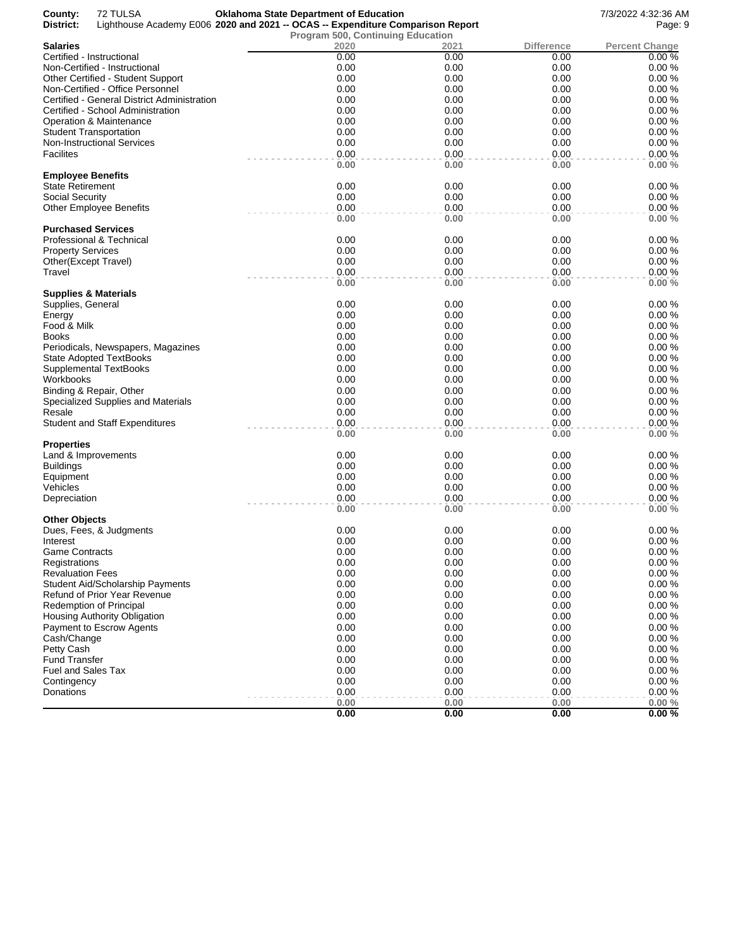| County:<br>72 TULSA<br>District:            | <b>Oklahoma State Department of Education</b><br>Lighthouse Academy E006 2020 and 2021 -- OCAS -- Expenditure Comparison Report |      |                   | 7/3/2022 4:32:36 AM<br>Page: 9 |
|---------------------------------------------|---------------------------------------------------------------------------------------------------------------------------------|------|-------------------|--------------------------------|
|                                             | <b>Program 500, Continuing Education</b>                                                                                        |      |                   |                                |
| <b>Salaries</b>                             | 2020                                                                                                                            | 2021 | <b>Difference</b> | <b>Percent Change</b>          |
| Certified - Instructional                   | 0.00                                                                                                                            | 0.00 | 0.00              | 0.00%                          |
| Non-Certified - Instructional               | 0.00                                                                                                                            | 0.00 | 0.00              | 0.00%                          |
| Other Certified - Student Support           | 0.00                                                                                                                            | 0.00 | 0.00              | 0.00%                          |
| Non-Certified - Office Personnel            | 0.00                                                                                                                            | 0.00 | 0.00              | 0.00%                          |
| Certified - General District Administration | 0.00                                                                                                                            | 0.00 | 0.00              | 0.00%                          |
| Certified - School Administration           | 0.00                                                                                                                            | 0.00 | 0.00              | 0.00%                          |
| <b>Operation &amp; Maintenance</b>          | 0.00                                                                                                                            | 0.00 | 0.00              | 0.00%                          |
| <b>Student Transportation</b>               | 0.00                                                                                                                            | 0.00 | 0.00              | 0.00%                          |
| <b>Non-Instructional Services</b>           | 0.00                                                                                                                            | 0.00 | 0.00              | 0.00%                          |
| Facilites                                   | 0.00                                                                                                                            | 0.00 | 0.00              | 0.00%                          |
|                                             | 0.00                                                                                                                            | 0.00 | 0.00              | 0.00%                          |
| <b>Employee Benefits</b>                    |                                                                                                                                 |      |                   |                                |
| <b>State Retirement</b>                     | 0.00                                                                                                                            | 0.00 | 0.00              | 0.00%                          |
| <b>Social Security</b>                      | 0.00                                                                                                                            | 0.00 | 0.00              | 0.00%                          |
| <b>Other Employee Benefits</b>              | 0.00                                                                                                                            | 0.00 | 0.00              | 0.00%                          |
| <b>Purchased Services</b>                   | 0.00                                                                                                                            | 0.00 | 0.00              | 0.00%                          |
| Professional & Technical                    | 0.00                                                                                                                            | 0.00 | 0.00              | 0.00%                          |
| <b>Property Services</b>                    | 0.00                                                                                                                            | 0.00 | 0.00              | 0.00%                          |
| Other(Except Travel)                        | 0.00                                                                                                                            | 0.00 | 0.00              | 0.00%                          |
| Travel                                      | 0.00                                                                                                                            | 0.00 | 0.00              | 0.00%                          |
|                                             | 0.00                                                                                                                            | 0.00 | 0.00              | 0.00%                          |
| Supplies & Materials                        |                                                                                                                                 |      |                   |                                |
| Supplies, General                           | 0.00                                                                                                                            | 0.00 | 0.00              | 0.00%                          |
| Energy                                      | 0.00                                                                                                                            | 0.00 | 0.00              | 0.00%                          |
| Food & Milk                                 | 0.00                                                                                                                            | 0.00 | 0.00              | 0.00%                          |
| <b>Books</b>                                | 0.00                                                                                                                            | 0.00 | 0.00              | 0.00%                          |
| Periodicals, Newspapers, Magazines          | 0.00                                                                                                                            | 0.00 | 0.00              | 0.00%                          |
| <b>State Adopted TextBooks</b>              | 0.00                                                                                                                            | 0.00 | 0.00              | 0.00%                          |
| <b>Supplemental TextBooks</b>               | 0.00                                                                                                                            | 0.00 | 0.00              | 0.00%                          |
| Workbooks                                   | 0.00                                                                                                                            | 0.00 | 0.00              | 0.00%                          |
| Binding & Repair, Other                     | 0.00                                                                                                                            | 0.00 | 0.00              | 0.00%                          |
| Specialized Supplies and Materials          | 0.00                                                                                                                            | 0.00 | 0.00              | 0.00%                          |
| Resale                                      | 0.00                                                                                                                            | 0.00 | 0.00              | 0.00%                          |
| <b>Student and Staff Expenditures</b>       | 0.00                                                                                                                            | 0.00 | 0.00              | 0.00%                          |
|                                             | 0.00                                                                                                                            | 0.00 | 0.00              | 0.00%                          |
| <b>Properties</b>                           |                                                                                                                                 |      |                   |                                |
| Land & Improvements                         | 0.00                                                                                                                            | 0.00 | 0.00              | 0.00%                          |
| <b>Buildings</b>                            | 0.00                                                                                                                            | 0.00 | 0.00              | 0.00%                          |
| Equipment                                   | 0.00                                                                                                                            | 0.00 | 0.00              | 0.00%                          |
| Vehicles                                    | 0.00                                                                                                                            | 0.00 | 0.00              | 0.00%                          |
| Depreciation                                | 0.00                                                                                                                            | 0.00 | 0.00              | 0.00%                          |
|                                             | 0.00                                                                                                                            | 0.00 | 0.00              | 0.00%                          |
| <b>Other Objects</b>                        |                                                                                                                                 |      |                   |                                |
| Dues, Fees, & Judgments                     | 0.00                                                                                                                            | 0.00 | 0.00              | 0.00%                          |
| Interest                                    | 0.00                                                                                                                            | 0.00 | 0.00              | 0.00%                          |
| Game Contracts                              | 0.00                                                                                                                            | 0.00 | 0.00              | 0.00%                          |
| Registrations                               | 0.00                                                                                                                            | 0.00 | 0.00              | 0.00%                          |
| <b>Revaluation Fees</b>                     | 0.00                                                                                                                            | 0.00 | 0.00              | 0.00%                          |
| <b>Student Aid/Scholarship Payments</b>     | 0.00                                                                                                                            | 0.00 | 0.00              | 0.00%                          |
| Refund of Prior Year Revenue                | 0.00                                                                                                                            | 0.00 | 0.00              | 0.00%                          |
| Redemption of Principal                     | 0.00                                                                                                                            | 0.00 | 0.00              | 0.00%                          |
| Housing Authority Obligation                | 0.00                                                                                                                            | 0.00 | 0.00              | 0.00%                          |
| Payment to Escrow Agents                    | 0.00                                                                                                                            | 0.00 | 0.00              | 0.00%                          |
| Cash/Change                                 | 0.00                                                                                                                            | 0.00 | 0.00              | 0.00%                          |
| Petty Cash                                  | 0.00                                                                                                                            | 0.00 | 0.00              | 0.00%                          |
| <b>Fund Transfer</b>                        | 0.00                                                                                                                            | 0.00 | 0.00              | 0.00%                          |
| <b>Fuel and Sales Tax</b>                   | 0.00                                                                                                                            | 0.00 | 0.00              | 0.00%                          |
| Contingency                                 | 0.00                                                                                                                            | 0.00 | 0.00              | 0.00%                          |
| Donations                                   | 0.00                                                                                                                            | 0.00 | 0.00              | 0.00%                          |
|                                             | 0.00                                                                                                                            | 0.00 | 0.00              | 0.00%                          |
|                                             | 0.00                                                                                                                            | 0.00 | 0.00              | 0.00%                          |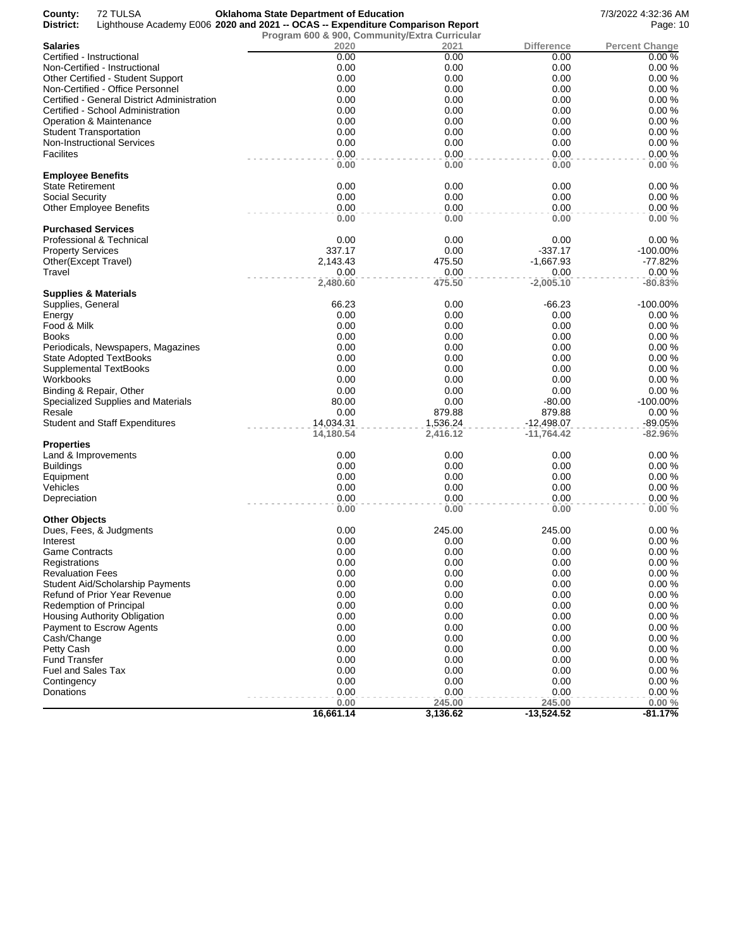| County:<br>District:      | 72 TULSA                                    | <b>Oklahoma State Department of Education</b><br>Lighthouse Academy E006 2020 and 2021 -- OCAS -- Expenditure Comparison Report |                      |                              | 7/3/2022 4:32:36 AM<br>Page: 10 |
|---------------------------|---------------------------------------------|---------------------------------------------------------------------------------------------------------------------------------|----------------------|------------------------------|---------------------------------|
|                           |                                             | Program 600 & 900, Community/Extra Curricular                                                                                   |                      |                              |                                 |
| <b>Salaries</b>           |                                             | 2020                                                                                                                            | 2021                 | Difference                   | <b>Percent Change</b>           |
|                           | Certified - Instructional                   | 0.00                                                                                                                            | 0.00                 | 0.00                         | 0.00%                           |
|                           | Non-Certified - Instructional               | 0.00                                                                                                                            | 0.00                 | 0.00                         | 0.00%                           |
|                           | Other Certified - Student Support           | 0.00                                                                                                                            | 0.00                 | 0.00                         | 0.00%                           |
|                           |                                             | 0.00                                                                                                                            | 0.00                 | 0.00                         | 0.00%                           |
|                           | Non-Certified - Office Personnel            |                                                                                                                                 |                      |                              |                                 |
|                           | Certified - General District Administration | 0.00                                                                                                                            | 0.00                 | 0.00                         | 0.00%                           |
|                           | Certified - School Administration           | 0.00                                                                                                                            | 0.00                 | 0.00                         | 0.00%                           |
|                           | Operation & Maintenance                     | 0.00                                                                                                                            | 0.00                 | 0.00                         | 0.00%                           |
|                           | <b>Student Transportation</b>               | 0.00                                                                                                                            | 0.00                 | 0.00                         | 0.00%                           |
|                           | <b>Non-Instructional Services</b>           | 0.00                                                                                                                            | 0.00                 | 0.00                         | 0.00%                           |
| Facilites                 |                                             | 0.00<br>0.00                                                                                                                    | 0.00<br>0.00         | 0.00<br>0.00                 | 0.00%<br>0.00%                  |
| <b>Employee Benefits</b>  |                                             |                                                                                                                                 |                      |                              |                                 |
| State Retirement          |                                             | 0.00                                                                                                                            | 0.00                 | 0.00                         | 0.00%                           |
| Social Security           |                                             | 0.00                                                                                                                            | 0.00                 | 0.00                         | 0.00%                           |
|                           | <b>Other Employee Benefits</b>              | 0.00                                                                                                                            | 0.00                 | 0.00                         | 0.00%                           |
|                           |                                             | 0.00                                                                                                                            | 0.00                 | 0.00                         | 0.00%                           |
|                           | <b>Purchased Services</b>                   |                                                                                                                                 |                      |                              |                                 |
|                           | Professional & Technical                    | 0.00                                                                                                                            | 0.00                 | 0.00                         | 0.00%                           |
| <b>Property Services</b>  |                                             | 337.17                                                                                                                          | 0.00                 | $-337.17$                    | -100.00%                        |
| Other(Except Travel)      |                                             | 2,143.43                                                                                                                        | 475.50               | $-1,667.93$                  | -77.82%                         |
| Travel                    |                                             | 0.00                                                                                                                            | 0.00                 | 0.00                         | 0.00%                           |
|                           | Supplies & Materials                        | 2,480.60                                                                                                                        | 475.50               | $-2,005.10$                  | $-80.83%$                       |
| Supplies, General         |                                             | 66.23                                                                                                                           | 0.00                 | -66.23                       | -100.00%                        |
| Energy                    |                                             | 0.00                                                                                                                            | 0.00                 | 0.00                         | 0.00%                           |
| Food & Milk               |                                             | 0.00                                                                                                                            | 0.00                 | 0.00                         | 0.00%                           |
| Books                     |                                             | 0.00                                                                                                                            | 0.00                 | 0.00                         | 0.00%                           |
|                           | Periodicals, Newspapers, Magazines          | 0.00                                                                                                                            | 0.00                 | 0.00                         | 0.00%                           |
|                           | State Adopted TextBooks                     | 0.00                                                                                                                            | 0.00                 | 0.00                         | 0.00%                           |
|                           | Supplemental TextBooks                      | 0.00                                                                                                                            | 0.00                 | 0.00                         | 0.00%                           |
| Workbooks                 |                                             | 0.00                                                                                                                            | 0.00                 | 0.00                         | 0.00%                           |
|                           | Binding & Repair, Other                     | 0.00                                                                                                                            | 0.00                 | 0.00                         | 0.00%                           |
|                           |                                             | 80.00                                                                                                                           | 0.00                 | $-80.00$                     | $-100.00\%$                     |
|                           | Specialized Supplies and Materials          |                                                                                                                                 |                      |                              |                                 |
| Resale                    |                                             | 0.00                                                                                                                            | 879.88               | 879.88                       | 0.00%                           |
|                           | <b>Student and Staff Expenditures</b>       | 14,034.31<br>14,180.54                                                                                                          | 1,536.24<br>2,416.12 | $-12,498.07$<br>$-11,764.42$ | $-89.05%$<br>$-82.96%$          |
| <b>Properties</b>         |                                             |                                                                                                                                 |                      |                              |                                 |
|                           | Land & Improvements                         | 0.00                                                                                                                            | 0.00                 | 0.00                         | 0.00%                           |
| <b>Buildings</b>          |                                             | 0.00                                                                                                                            | 0.00                 | 0.00                         | 0.00%                           |
| Equipment                 |                                             | 0.00                                                                                                                            | 0.00                 | 0.00                         | 0.00%                           |
| Vehicles                  |                                             | 0.00                                                                                                                            | 0.00                 | 0.00                         | 0.00%                           |
| Depreciation              |                                             | 0.00                                                                                                                            | 0.00                 | 0.00                         | 0.00%                           |
|                           |                                             | 0.00                                                                                                                            | 0.00                 | 0.00                         | 0.00%                           |
| <b>Other Objects</b>      |                                             | 0.00                                                                                                                            | 245.00               |                              |                                 |
|                           | Dues, Fees, & Judgments                     |                                                                                                                                 |                      | 245.00                       | 0.00%                           |
| Interest                  |                                             | 0.00                                                                                                                            | 0.00                 | 0.00                         | 0.00 %                          |
| Game Contracts            |                                             | 0.00                                                                                                                            | 0.00                 | 0.00                         | 0.00%                           |
| Registrations             |                                             | 0.00                                                                                                                            | 0.00                 | 0.00                         | 0.00%                           |
| <b>Revaluation Fees</b>   |                                             | 0.00                                                                                                                            | 0.00                 | 0.00                         | 0.00%                           |
|                           | <b>Student Aid/Scholarship Payments</b>     | 0.00                                                                                                                            | 0.00                 | 0.00                         | 0.00%                           |
|                           | Refund of Prior Year Revenue                | 0.00                                                                                                                            | 0.00                 | 0.00                         | 0.00%                           |
|                           | Redemption of Principal                     | 0.00                                                                                                                            | 0.00                 | 0.00                         | 0.00%                           |
|                           | Housing Authority Obligation                | 0.00                                                                                                                            | 0.00                 | 0.00                         | 0.00%                           |
|                           | Payment to Escrow Agents                    | 0.00                                                                                                                            | 0.00                 | 0.00                         | 0.00%                           |
| Cash/Change               |                                             | 0.00                                                                                                                            | 0.00                 | 0.00                         | 0.00%                           |
| Petty Cash                |                                             | 0.00                                                                                                                            | 0.00                 | 0.00                         | 0.00%                           |
| <b>Fund Transfer</b>      |                                             | 0.00                                                                                                                            | 0.00                 | 0.00                         | 0.00%                           |
| <b>Fuel and Sales Tax</b> |                                             | 0.00                                                                                                                            | 0.00                 | 0.00                         | 0.00%                           |
| Contingency               |                                             | 0.00                                                                                                                            | 0.00                 | 0.00                         | 0.00%                           |
| Donations                 |                                             | 0.00                                                                                                                            | 0.00                 | 0.00                         | 0.00%                           |
|                           |                                             | 0.00                                                                                                                            | 245.00               | 245.00                       | 0.00%                           |
|                           |                                             | 16,661.14                                                                                                                       | 3,136.62             | $-13,524.52$                 | $-81.17%$                       |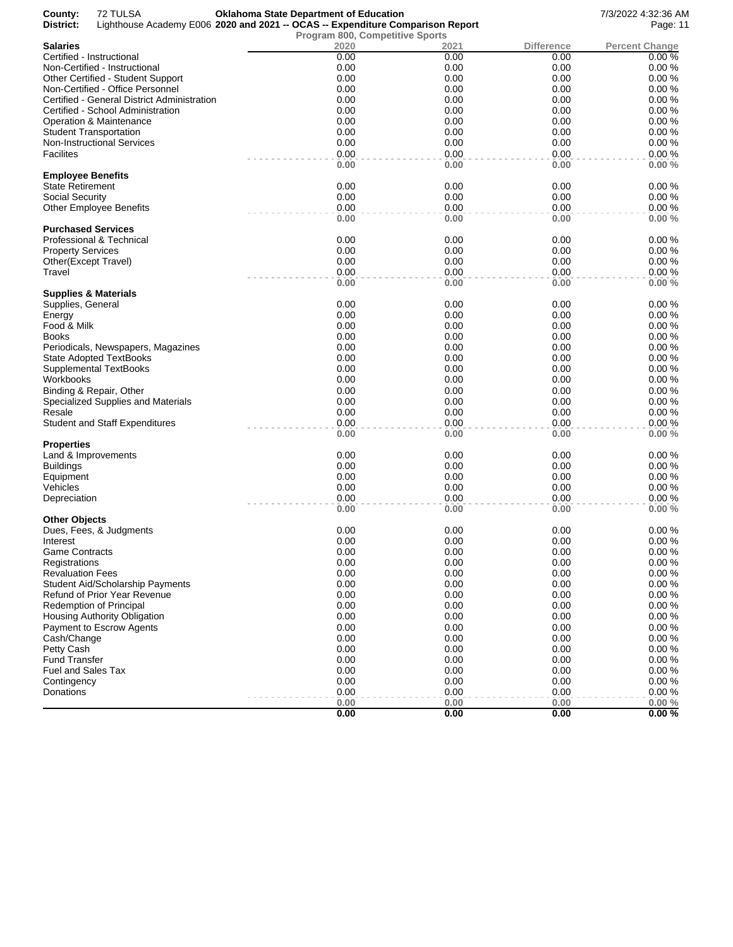| <b>Salaries</b><br>2020<br><b>Difference</b><br><b>Percent Change</b><br>2021<br>0.00<br>Certified - Instructional<br>0.00<br>0.00<br>0.00%<br>0.00<br>0.00<br>0.00<br>0.00%<br>Non-Certified - Instructional<br>0.00<br>0.00<br>0.00<br>0.00%<br>Other Certified - Student Support<br>0.00<br>0.00<br>0.00<br>0.00%<br>Non-Certified - Office Personnel<br>0.00<br>0.00<br>0.00<br>0.00%<br>Certified - General District Administration<br>0.00<br>0.00<br>0.00<br>0.00%<br>Certified - School Administration<br>0.00<br>0.00<br>0.00<br>0.00%<br>Operation & Maintenance<br>0.00<br>0.00<br>0.00<br>0.00%<br><b>Student Transportation</b><br>0.00<br>0.00<br>0.00<br>0.00%<br><b>Non-Instructional Services</b><br><b>Facilites</b><br>0.00<br>0.00<br>0.00<br>0.00%<br>0.00<br>0.00<br>0.00%<br>0.00<br><b>Employee Benefits</b><br>0.00<br>0.00<br>0.00<br>State Retirement<br>0.00%<br>0.00<br>0.00<br>0.00<br>0.00%<br>Social Security<br>0.00<br>0.00<br>0.00<br>0.00%<br><b>Other Employee Benefits</b><br>0.00<br>0.00%<br>0.00<br>0.00<br><b>Purchased Services</b><br>Professional & Technical<br>0.00<br>0.00<br>0.00<br>0.00%<br>0.00<br>0.00<br>0.00<br>0.00%<br><b>Property Services</b><br>0.00<br>0.00<br>0.00<br>0.00%<br>Other(Except Travel)<br>0.00<br>0.00<br>0.00<br>0.00%<br>0.00<br>0.00%<br>0.00<br>0.00<br>Supplies & Materials<br>0.00<br>0.00<br>Supplies, General<br>0.00<br>0.00%<br>0.00<br>0.00<br>0.00<br>0.00%<br>Energy<br>Food & Milk<br>0.00<br>0.00<br>0.00<br>0.00%<br>0.00<br>0.00<br>0.00<br>0.00%<br>Books<br>0.00<br>0.00<br>0.00<br>0.00%<br>Periodicals, Newspapers, Magazines<br>0.00<br>0.00<br>0.00<br>0.00%<br>State Adopted TextBooks<br>0.00<br>0.00<br>0.00<br>0.00%<br><b>Supplemental TextBooks</b><br>0.00<br>0.00<br>0.00<br>0.00%<br>Workbooks<br>0.00<br>0.00<br>0.00%<br>Binding & Repair, Other<br>0.00<br>0.00<br>0.00<br>0.00<br>0.00%<br>Specialized Supplies and Materials<br>0.00<br>0.00<br>0.00<br>0.00%<br>Resale<br>0.00<br>0.00<br>0.00<br>0.00%<br><b>Student and Staff Expenditures</b><br>0.00<br>0.00%<br>0.00<br>0.00<br>Properties<br>0.00<br>Land & Improvements<br>0.00<br>0.00<br>0.00%<br>0.00<br>0.00<br>0.00<br>0.00%<br>Buildings<br>0.00<br>0.00%<br>Equipment<br>0.00<br>0.00<br>0.00<br>0.00<br>0.00%<br>Vehicles<br>0.00<br>0.00<br>0.00<br>0.00%<br>Depreciation<br>0.00<br>0.00<br>0.00%<br>0.00<br>0.00<br><b>Other Objects</b><br>0.00<br>0.00<br>0.00<br>0.00%<br>Dues, Fees, & Judgments<br>Interest<br>0.00<br>0.00<br>0.00<br>0.00%<br>0.00<br>0.00<br>0.00<br>0.00%<br><b>Game Contracts</b><br>0.00<br>0.00<br>0.00%<br>0.00<br>Registrations<br>0.00<br>0.00%<br>0.00<br>0.00<br><b>Revaluation Fees</b><br>0.00<br>0.00<br>0.00<br>0.00%<br><b>Student Aid/Scholarship Payments</b><br>0.00%<br>0.00<br>0.00<br>0.00<br>Refund of Prior Year Revenue<br>Redemption of Principal<br>0.00<br>0.00<br>0.00<br>0.00%<br>0.00%<br>0.00<br>0.00<br>0.00<br>Housing Authority Obligation<br>0.00<br>0.00<br>0.00<br>0.00%<br>Payment to Escrow Agents<br>0.00<br>0.00<br>0.00<br>0.00%<br>Cash/Change<br>0.00<br>0.00<br>0.00<br>0.00%<br>Petty Cash<br>Fund Transfer<br>0.00<br>0.00<br>0.00<br>0.00%<br><b>Fuel and Sales Tax</b><br>0.00<br>0.00<br>0.00<br>0.00%<br>0.00<br>0.00<br>0.00<br>0.00%<br>Contingency<br>0.00<br>0.00<br>0.00<br>0.00%<br>Donations<br>0.00<br>0.00<br>0.00%<br>0.00<br>0.00<br>0.00<br>0.00<br>0.00% | 72 TULSA<br>County:<br>District:<br>Lighthouse Academy E006 2020 and 2021 -- OCAS -- Expenditure Comparison Report | <b>Oklahoma State Department of Education</b><br>Program 800, Competitive Sports |  | 7/3/2022 4:32:36 AM<br>Page: 11 |
|------------------------------------------------------------------------------------------------------------------------------------------------------------------------------------------------------------------------------------------------------------------------------------------------------------------------------------------------------------------------------------------------------------------------------------------------------------------------------------------------------------------------------------------------------------------------------------------------------------------------------------------------------------------------------------------------------------------------------------------------------------------------------------------------------------------------------------------------------------------------------------------------------------------------------------------------------------------------------------------------------------------------------------------------------------------------------------------------------------------------------------------------------------------------------------------------------------------------------------------------------------------------------------------------------------------------------------------------------------------------------------------------------------------------------------------------------------------------------------------------------------------------------------------------------------------------------------------------------------------------------------------------------------------------------------------------------------------------------------------------------------------------------------------------------------------------------------------------------------------------------------------------------------------------------------------------------------------------------------------------------------------------------------------------------------------------------------------------------------------------------------------------------------------------------------------------------------------------------------------------------------------------------------------------------------------------------------------------------------------------------------------------------------------------------------------------------------------------------------------------------------------------------------------------------------------------------------------------------------------------------------------------------------------------------------------------------------------------------------------------------------------------------------------------------------------------------------------------------------------------------------------------------------------------------------------------------------------------------------------------------------------------------------------------------------------------------------------------------------------------------------------------------------------------------------------------------------------------------------------------------------------------------------------------------------------------------------------------------------------------------------------------------------------------------------|--------------------------------------------------------------------------------------------------------------------|----------------------------------------------------------------------------------|--|---------------------------------|
|                                                                                                                                                                                                                                                                                                                                                                                                                                                                                                                                                                                                                                                                                                                                                                                                                                                                                                                                                                                                                                                                                                                                                                                                                                                                                                                                                                                                                                                                                                                                                                                                                                                                                                                                                                                                                                                                                                                                                                                                                                                                                                                                                                                                                                                                                                                                                                                                                                                                                                                                                                                                                                                                                                                                                                                                                                                                                                                                                                                                                                                                                                                                                                                                                                                                                                                                                                                                                                    |                                                                                                                    |                                                                                  |  |                                 |
|                                                                                                                                                                                                                                                                                                                                                                                                                                                                                                                                                                                                                                                                                                                                                                                                                                                                                                                                                                                                                                                                                                                                                                                                                                                                                                                                                                                                                                                                                                                                                                                                                                                                                                                                                                                                                                                                                                                                                                                                                                                                                                                                                                                                                                                                                                                                                                                                                                                                                                                                                                                                                                                                                                                                                                                                                                                                                                                                                                                                                                                                                                                                                                                                                                                                                                                                                                                                                                    |                                                                                                                    |                                                                                  |  |                                 |
|                                                                                                                                                                                                                                                                                                                                                                                                                                                                                                                                                                                                                                                                                                                                                                                                                                                                                                                                                                                                                                                                                                                                                                                                                                                                                                                                                                                                                                                                                                                                                                                                                                                                                                                                                                                                                                                                                                                                                                                                                                                                                                                                                                                                                                                                                                                                                                                                                                                                                                                                                                                                                                                                                                                                                                                                                                                                                                                                                                                                                                                                                                                                                                                                                                                                                                                                                                                                                                    |                                                                                                                    |                                                                                  |  |                                 |
|                                                                                                                                                                                                                                                                                                                                                                                                                                                                                                                                                                                                                                                                                                                                                                                                                                                                                                                                                                                                                                                                                                                                                                                                                                                                                                                                                                                                                                                                                                                                                                                                                                                                                                                                                                                                                                                                                                                                                                                                                                                                                                                                                                                                                                                                                                                                                                                                                                                                                                                                                                                                                                                                                                                                                                                                                                                                                                                                                                                                                                                                                                                                                                                                                                                                                                                                                                                                                                    |                                                                                                                    |                                                                                  |  |                                 |
|                                                                                                                                                                                                                                                                                                                                                                                                                                                                                                                                                                                                                                                                                                                                                                                                                                                                                                                                                                                                                                                                                                                                                                                                                                                                                                                                                                                                                                                                                                                                                                                                                                                                                                                                                                                                                                                                                                                                                                                                                                                                                                                                                                                                                                                                                                                                                                                                                                                                                                                                                                                                                                                                                                                                                                                                                                                                                                                                                                                                                                                                                                                                                                                                                                                                                                                                                                                                                                    |                                                                                                                    |                                                                                  |  |                                 |
|                                                                                                                                                                                                                                                                                                                                                                                                                                                                                                                                                                                                                                                                                                                                                                                                                                                                                                                                                                                                                                                                                                                                                                                                                                                                                                                                                                                                                                                                                                                                                                                                                                                                                                                                                                                                                                                                                                                                                                                                                                                                                                                                                                                                                                                                                                                                                                                                                                                                                                                                                                                                                                                                                                                                                                                                                                                                                                                                                                                                                                                                                                                                                                                                                                                                                                                                                                                                                                    |                                                                                                                    |                                                                                  |  |                                 |
|                                                                                                                                                                                                                                                                                                                                                                                                                                                                                                                                                                                                                                                                                                                                                                                                                                                                                                                                                                                                                                                                                                                                                                                                                                                                                                                                                                                                                                                                                                                                                                                                                                                                                                                                                                                                                                                                                                                                                                                                                                                                                                                                                                                                                                                                                                                                                                                                                                                                                                                                                                                                                                                                                                                                                                                                                                                                                                                                                                                                                                                                                                                                                                                                                                                                                                                                                                                                                                    |                                                                                                                    |                                                                                  |  |                                 |
|                                                                                                                                                                                                                                                                                                                                                                                                                                                                                                                                                                                                                                                                                                                                                                                                                                                                                                                                                                                                                                                                                                                                                                                                                                                                                                                                                                                                                                                                                                                                                                                                                                                                                                                                                                                                                                                                                                                                                                                                                                                                                                                                                                                                                                                                                                                                                                                                                                                                                                                                                                                                                                                                                                                                                                                                                                                                                                                                                                                                                                                                                                                                                                                                                                                                                                                                                                                                                                    |                                                                                                                    |                                                                                  |  |                                 |
|                                                                                                                                                                                                                                                                                                                                                                                                                                                                                                                                                                                                                                                                                                                                                                                                                                                                                                                                                                                                                                                                                                                                                                                                                                                                                                                                                                                                                                                                                                                                                                                                                                                                                                                                                                                                                                                                                                                                                                                                                                                                                                                                                                                                                                                                                                                                                                                                                                                                                                                                                                                                                                                                                                                                                                                                                                                                                                                                                                                                                                                                                                                                                                                                                                                                                                                                                                                                                                    |                                                                                                                    |                                                                                  |  |                                 |
|                                                                                                                                                                                                                                                                                                                                                                                                                                                                                                                                                                                                                                                                                                                                                                                                                                                                                                                                                                                                                                                                                                                                                                                                                                                                                                                                                                                                                                                                                                                                                                                                                                                                                                                                                                                                                                                                                                                                                                                                                                                                                                                                                                                                                                                                                                                                                                                                                                                                                                                                                                                                                                                                                                                                                                                                                                                                                                                                                                                                                                                                                                                                                                                                                                                                                                                                                                                                                                    |                                                                                                                    |                                                                                  |  |                                 |
|                                                                                                                                                                                                                                                                                                                                                                                                                                                                                                                                                                                                                                                                                                                                                                                                                                                                                                                                                                                                                                                                                                                                                                                                                                                                                                                                                                                                                                                                                                                                                                                                                                                                                                                                                                                                                                                                                                                                                                                                                                                                                                                                                                                                                                                                                                                                                                                                                                                                                                                                                                                                                                                                                                                                                                                                                                                                                                                                                                                                                                                                                                                                                                                                                                                                                                                                                                                                                                    |                                                                                                                    |                                                                                  |  |                                 |
|                                                                                                                                                                                                                                                                                                                                                                                                                                                                                                                                                                                                                                                                                                                                                                                                                                                                                                                                                                                                                                                                                                                                                                                                                                                                                                                                                                                                                                                                                                                                                                                                                                                                                                                                                                                                                                                                                                                                                                                                                                                                                                                                                                                                                                                                                                                                                                                                                                                                                                                                                                                                                                                                                                                                                                                                                                                                                                                                                                                                                                                                                                                                                                                                                                                                                                                                                                                                                                    |                                                                                                                    |                                                                                  |  |                                 |
|                                                                                                                                                                                                                                                                                                                                                                                                                                                                                                                                                                                                                                                                                                                                                                                                                                                                                                                                                                                                                                                                                                                                                                                                                                                                                                                                                                                                                                                                                                                                                                                                                                                                                                                                                                                                                                                                                                                                                                                                                                                                                                                                                                                                                                                                                                                                                                                                                                                                                                                                                                                                                                                                                                                                                                                                                                                                                                                                                                                                                                                                                                                                                                                                                                                                                                                                                                                                                                    |                                                                                                                    |                                                                                  |  |                                 |
|                                                                                                                                                                                                                                                                                                                                                                                                                                                                                                                                                                                                                                                                                                                                                                                                                                                                                                                                                                                                                                                                                                                                                                                                                                                                                                                                                                                                                                                                                                                                                                                                                                                                                                                                                                                                                                                                                                                                                                                                                                                                                                                                                                                                                                                                                                                                                                                                                                                                                                                                                                                                                                                                                                                                                                                                                                                                                                                                                                                                                                                                                                                                                                                                                                                                                                                                                                                                                                    |                                                                                                                    |                                                                                  |  |                                 |
|                                                                                                                                                                                                                                                                                                                                                                                                                                                                                                                                                                                                                                                                                                                                                                                                                                                                                                                                                                                                                                                                                                                                                                                                                                                                                                                                                                                                                                                                                                                                                                                                                                                                                                                                                                                                                                                                                                                                                                                                                                                                                                                                                                                                                                                                                                                                                                                                                                                                                                                                                                                                                                                                                                                                                                                                                                                                                                                                                                                                                                                                                                                                                                                                                                                                                                                                                                                                                                    |                                                                                                                    |                                                                                  |  |                                 |
|                                                                                                                                                                                                                                                                                                                                                                                                                                                                                                                                                                                                                                                                                                                                                                                                                                                                                                                                                                                                                                                                                                                                                                                                                                                                                                                                                                                                                                                                                                                                                                                                                                                                                                                                                                                                                                                                                                                                                                                                                                                                                                                                                                                                                                                                                                                                                                                                                                                                                                                                                                                                                                                                                                                                                                                                                                                                                                                                                                                                                                                                                                                                                                                                                                                                                                                                                                                                                                    |                                                                                                                    |                                                                                  |  |                                 |
|                                                                                                                                                                                                                                                                                                                                                                                                                                                                                                                                                                                                                                                                                                                                                                                                                                                                                                                                                                                                                                                                                                                                                                                                                                                                                                                                                                                                                                                                                                                                                                                                                                                                                                                                                                                                                                                                                                                                                                                                                                                                                                                                                                                                                                                                                                                                                                                                                                                                                                                                                                                                                                                                                                                                                                                                                                                                                                                                                                                                                                                                                                                                                                                                                                                                                                                                                                                                                                    |                                                                                                                    |                                                                                  |  |                                 |
|                                                                                                                                                                                                                                                                                                                                                                                                                                                                                                                                                                                                                                                                                                                                                                                                                                                                                                                                                                                                                                                                                                                                                                                                                                                                                                                                                                                                                                                                                                                                                                                                                                                                                                                                                                                                                                                                                                                                                                                                                                                                                                                                                                                                                                                                                                                                                                                                                                                                                                                                                                                                                                                                                                                                                                                                                                                                                                                                                                                                                                                                                                                                                                                                                                                                                                                                                                                                                                    |                                                                                                                    |                                                                                  |  |                                 |
|                                                                                                                                                                                                                                                                                                                                                                                                                                                                                                                                                                                                                                                                                                                                                                                                                                                                                                                                                                                                                                                                                                                                                                                                                                                                                                                                                                                                                                                                                                                                                                                                                                                                                                                                                                                                                                                                                                                                                                                                                                                                                                                                                                                                                                                                                                                                                                                                                                                                                                                                                                                                                                                                                                                                                                                                                                                                                                                                                                                                                                                                                                                                                                                                                                                                                                                                                                                                                                    |                                                                                                                    |                                                                                  |  |                                 |
|                                                                                                                                                                                                                                                                                                                                                                                                                                                                                                                                                                                                                                                                                                                                                                                                                                                                                                                                                                                                                                                                                                                                                                                                                                                                                                                                                                                                                                                                                                                                                                                                                                                                                                                                                                                                                                                                                                                                                                                                                                                                                                                                                                                                                                                                                                                                                                                                                                                                                                                                                                                                                                                                                                                                                                                                                                                                                                                                                                                                                                                                                                                                                                                                                                                                                                                                                                                                                                    |                                                                                                                    |                                                                                  |  |                                 |
|                                                                                                                                                                                                                                                                                                                                                                                                                                                                                                                                                                                                                                                                                                                                                                                                                                                                                                                                                                                                                                                                                                                                                                                                                                                                                                                                                                                                                                                                                                                                                                                                                                                                                                                                                                                                                                                                                                                                                                                                                                                                                                                                                                                                                                                                                                                                                                                                                                                                                                                                                                                                                                                                                                                                                                                                                                                                                                                                                                                                                                                                                                                                                                                                                                                                                                                                                                                                                                    |                                                                                                                    |                                                                                  |  |                                 |
|                                                                                                                                                                                                                                                                                                                                                                                                                                                                                                                                                                                                                                                                                                                                                                                                                                                                                                                                                                                                                                                                                                                                                                                                                                                                                                                                                                                                                                                                                                                                                                                                                                                                                                                                                                                                                                                                                                                                                                                                                                                                                                                                                                                                                                                                                                                                                                                                                                                                                                                                                                                                                                                                                                                                                                                                                                                                                                                                                                                                                                                                                                                                                                                                                                                                                                                                                                                                                                    | Travel                                                                                                             |                                                                                  |  |                                 |
|                                                                                                                                                                                                                                                                                                                                                                                                                                                                                                                                                                                                                                                                                                                                                                                                                                                                                                                                                                                                                                                                                                                                                                                                                                                                                                                                                                                                                                                                                                                                                                                                                                                                                                                                                                                                                                                                                                                                                                                                                                                                                                                                                                                                                                                                                                                                                                                                                                                                                                                                                                                                                                                                                                                                                                                                                                                                                                                                                                                                                                                                                                                                                                                                                                                                                                                                                                                                                                    |                                                                                                                    |                                                                                  |  |                                 |
|                                                                                                                                                                                                                                                                                                                                                                                                                                                                                                                                                                                                                                                                                                                                                                                                                                                                                                                                                                                                                                                                                                                                                                                                                                                                                                                                                                                                                                                                                                                                                                                                                                                                                                                                                                                                                                                                                                                                                                                                                                                                                                                                                                                                                                                                                                                                                                                                                                                                                                                                                                                                                                                                                                                                                                                                                                                                                                                                                                                                                                                                                                                                                                                                                                                                                                                                                                                                                                    |                                                                                                                    |                                                                                  |  |                                 |
|                                                                                                                                                                                                                                                                                                                                                                                                                                                                                                                                                                                                                                                                                                                                                                                                                                                                                                                                                                                                                                                                                                                                                                                                                                                                                                                                                                                                                                                                                                                                                                                                                                                                                                                                                                                                                                                                                                                                                                                                                                                                                                                                                                                                                                                                                                                                                                                                                                                                                                                                                                                                                                                                                                                                                                                                                                                                                                                                                                                                                                                                                                                                                                                                                                                                                                                                                                                                                                    |                                                                                                                    |                                                                                  |  |                                 |
|                                                                                                                                                                                                                                                                                                                                                                                                                                                                                                                                                                                                                                                                                                                                                                                                                                                                                                                                                                                                                                                                                                                                                                                                                                                                                                                                                                                                                                                                                                                                                                                                                                                                                                                                                                                                                                                                                                                                                                                                                                                                                                                                                                                                                                                                                                                                                                                                                                                                                                                                                                                                                                                                                                                                                                                                                                                                                                                                                                                                                                                                                                                                                                                                                                                                                                                                                                                                                                    |                                                                                                                    |                                                                                  |  |                                 |
|                                                                                                                                                                                                                                                                                                                                                                                                                                                                                                                                                                                                                                                                                                                                                                                                                                                                                                                                                                                                                                                                                                                                                                                                                                                                                                                                                                                                                                                                                                                                                                                                                                                                                                                                                                                                                                                                                                                                                                                                                                                                                                                                                                                                                                                                                                                                                                                                                                                                                                                                                                                                                                                                                                                                                                                                                                                                                                                                                                                                                                                                                                                                                                                                                                                                                                                                                                                                                                    |                                                                                                                    |                                                                                  |  |                                 |
|                                                                                                                                                                                                                                                                                                                                                                                                                                                                                                                                                                                                                                                                                                                                                                                                                                                                                                                                                                                                                                                                                                                                                                                                                                                                                                                                                                                                                                                                                                                                                                                                                                                                                                                                                                                                                                                                                                                                                                                                                                                                                                                                                                                                                                                                                                                                                                                                                                                                                                                                                                                                                                                                                                                                                                                                                                                                                                                                                                                                                                                                                                                                                                                                                                                                                                                                                                                                                                    |                                                                                                                    |                                                                                  |  |                                 |
|                                                                                                                                                                                                                                                                                                                                                                                                                                                                                                                                                                                                                                                                                                                                                                                                                                                                                                                                                                                                                                                                                                                                                                                                                                                                                                                                                                                                                                                                                                                                                                                                                                                                                                                                                                                                                                                                                                                                                                                                                                                                                                                                                                                                                                                                                                                                                                                                                                                                                                                                                                                                                                                                                                                                                                                                                                                                                                                                                                                                                                                                                                                                                                                                                                                                                                                                                                                                                                    |                                                                                                                    |                                                                                  |  |                                 |
|                                                                                                                                                                                                                                                                                                                                                                                                                                                                                                                                                                                                                                                                                                                                                                                                                                                                                                                                                                                                                                                                                                                                                                                                                                                                                                                                                                                                                                                                                                                                                                                                                                                                                                                                                                                                                                                                                                                                                                                                                                                                                                                                                                                                                                                                                                                                                                                                                                                                                                                                                                                                                                                                                                                                                                                                                                                                                                                                                                                                                                                                                                                                                                                                                                                                                                                                                                                                                                    |                                                                                                                    |                                                                                  |  |                                 |
|                                                                                                                                                                                                                                                                                                                                                                                                                                                                                                                                                                                                                                                                                                                                                                                                                                                                                                                                                                                                                                                                                                                                                                                                                                                                                                                                                                                                                                                                                                                                                                                                                                                                                                                                                                                                                                                                                                                                                                                                                                                                                                                                                                                                                                                                                                                                                                                                                                                                                                                                                                                                                                                                                                                                                                                                                                                                                                                                                                                                                                                                                                                                                                                                                                                                                                                                                                                                                                    |                                                                                                                    |                                                                                  |  |                                 |
|                                                                                                                                                                                                                                                                                                                                                                                                                                                                                                                                                                                                                                                                                                                                                                                                                                                                                                                                                                                                                                                                                                                                                                                                                                                                                                                                                                                                                                                                                                                                                                                                                                                                                                                                                                                                                                                                                                                                                                                                                                                                                                                                                                                                                                                                                                                                                                                                                                                                                                                                                                                                                                                                                                                                                                                                                                                                                                                                                                                                                                                                                                                                                                                                                                                                                                                                                                                                                                    |                                                                                                                    |                                                                                  |  |                                 |
|                                                                                                                                                                                                                                                                                                                                                                                                                                                                                                                                                                                                                                                                                                                                                                                                                                                                                                                                                                                                                                                                                                                                                                                                                                                                                                                                                                                                                                                                                                                                                                                                                                                                                                                                                                                                                                                                                                                                                                                                                                                                                                                                                                                                                                                                                                                                                                                                                                                                                                                                                                                                                                                                                                                                                                                                                                                                                                                                                                                                                                                                                                                                                                                                                                                                                                                                                                                                                                    |                                                                                                                    |                                                                                  |  |                                 |
|                                                                                                                                                                                                                                                                                                                                                                                                                                                                                                                                                                                                                                                                                                                                                                                                                                                                                                                                                                                                                                                                                                                                                                                                                                                                                                                                                                                                                                                                                                                                                                                                                                                                                                                                                                                                                                                                                                                                                                                                                                                                                                                                                                                                                                                                                                                                                                                                                                                                                                                                                                                                                                                                                                                                                                                                                                                                                                                                                                                                                                                                                                                                                                                                                                                                                                                                                                                                                                    |                                                                                                                    |                                                                                  |  |                                 |
|                                                                                                                                                                                                                                                                                                                                                                                                                                                                                                                                                                                                                                                                                                                                                                                                                                                                                                                                                                                                                                                                                                                                                                                                                                                                                                                                                                                                                                                                                                                                                                                                                                                                                                                                                                                                                                                                                                                                                                                                                                                                                                                                                                                                                                                                                                                                                                                                                                                                                                                                                                                                                                                                                                                                                                                                                                                                                                                                                                                                                                                                                                                                                                                                                                                                                                                                                                                                                                    |                                                                                                                    |                                                                                  |  |                                 |
|                                                                                                                                                                                                                                                                                                                                                                                                                                                                                                                                                                                                                                                                                                                                                                                                                                                                                                                                                                                                                                                                                                                                                                                                                                                                                                                                                                                                                                                                                                                                                                                                                                                                                                                                                                                                                                                                                                                                                                                                                                                                                                                                                                                                                                                                                                                                                                                                                                                                                                                                                                                                                                                                                                                                                                                                                                                                                                                                                                                                                                                                                                                                                                                                                                                                                                                                                                                                                                    |                                                                                                                    |                                                                                  |  |                                 |
|                                                                                                                                                                                                                                                                                                                                                                                                                                                                                                                                                                                                                                                                                                                                                                                                                                                                                                                                                                                                                                                                                                                                                                                                                                                                                                                                                                                                                                                                                                                                                                                                                                                                                                                                                                                                                                                                                                                                                                                                                                                                                                                                                                                                                                                                                                                                                                                                                                                                                                                                                                                                                                                                                                                                                                                                                                                                                                                                                                                                                                                                                                                                                                                                                                                                                                                                                                                                                                    |                                                                                                                    |                                                                                  |  |                                 |
|                                                                                                                                                                                                                                                                                                                                                                                                                                                                                                                                                                                                                                                                                                                                                                                                                                                                                                                                                                                                                                                                                                                                                                                                                                                                                                                                                                                                                                                                                                                                                                                                                                                                                                                                                                                                                                                                                                                                                                                                                                                                                                                                                                                                                                                                                                                                                                                                                                                                                                                                                                                                                                                                                                                                                                                                                                                                                                                                                                                                                                                                                                                                                                                                                                                                                                                                                                                                                                    |                                                                                                                    |                                                                                  |  |                                 |
|                                                                                                                                                                                                                                                                                                                                                                                                                                                                                                                                                                                                                                                                                                                                                                                                                                                                                                                                                                                                                                                                                                                                                                                                                                                                                                                                                                                                                                                                                                                                                                                                                                                                                                                                                                                                                                                                                                                                                                                                                                                                                                                                                                                                                                                                                                                                                                                                                                                                                                                                                                                                                                                                                                                                                                                                                                                                                                                                                                                                                                                                                                                                                                                                                                                                                                                                                                                                                                    |                                                                                                                    |                                                                                  |  |                                 |
|                                                                                                                                                                                                                                                                                                                                                                                                                                                                                                                                                                                                                                                                                                                                                                                                                                                                                                                                                                                                                                                                                                                                                                                                                                                                                                                                                                                                                                                                                                                                                                                                                                                                                                                                                                                                                                                                                                                                                                                                                                                                                                                                                                                                                                                                                                                                                                                                                                                                                                                                                                                                                                                                                                                                                                                                                                                                                                                                                                                                                                                                                                                                                                                                                                                                                                                                                                                                                                    |                                                                                                                    |                                                                                  |  |                                 |
|                                                                                                                                                                                                                                                                                                                                                                                                                                                                                                                                                                                                                                                                                                                                                                                                                                                                                                                                                                                                                                                                                                                                                                                                                                                                                                                                                                                                                                                                                                                                                                                                                                                                                                                                                                                                                                                                                                                                                                                                                                                                                                                                                                                                                                                                                                                                                                                                                                                                                                                                                                                                                                                                                                                                                                                                                                                                                                                                                                                                                                                                                                                                                                                                                                                                                                                                                                                                                                    |                                                                                                                    |                                                                                  |  |                                 |
|                                                                                                                                                                                                                                                                                                                                                                                                                                                                                                                                                                                                                                                                                                                                                                                                                                                                                                                                                                                                                                                                                                                                                                                                                                                                                                                                                                                                                                                                                                                                                                                                                                                                                                                                                                                                                                                                                                                                                                                                                                                                                                                                                                                                                                                                                                                                                                                                                                                                                                                                                                                                                                                                                                                                                                                                                                                                                                                                                                                                                                                                                                                                                                                                                                                                                                                                                                                                                                    |                                                                                                                    |                                                                                  |  |                                 |
|                                                                                                                                                                                                                                                                                                                                                                                                                                                                                                                                                                                                                                                                                                                                                                                                                                                                                                                                                                                                                                                                                                                                                                                                                                                                                                                                                                                                                                                                                                                                                                                                                                                                                                                                                                                                                                                                                                                                                                                                                                                                                                                                                                                                                                                                                                                                                                                                                                                                                                                                                                                                                                                                                                                                                                                                                                                                                                                                                                                                                                                                                                                                                                                                                                                                                                                                                                                                                                    |                                                                                                                    |                                                                                  |  |                                 |
|                                                                                                                                                                                                                                                                                                                                                                                                                                                                                                                                                                                                                                                                                                                                                                                                                                                                                                                                                                                                                                                                                                                                                                                                                                                                                                                                                                                                                                                                                                                                                                                                                                                                                                                                                                                                                                                                                                                                                                                                                                                                                                                                                                                                                                                                                                                                                                                                                                                                                                                                                                                                                                                                                                                                                                                                                                                                                                                                                                                                                                                                                                                                                                                                                                                                                                                                                                                                                                    |                                                                                                                    |                                                                                  |  |                                 |
|                                                                                                                                                                                                                                                                                                                                                                                                                                                                                                                                                                                                                                                                                                                                                                                                                                                                                                                                                                                                                                                                                                                                                                                                                                                                                                                                                                                                                                                                                                                                                                                                                                                                                                                                                                                                                                                                                                                                                                                                                                                                                                                                                                                                                                                                                                                                                                                                                                                                                                                                                                                                                                                                                                                                                                                                                                                                                                                                                                                                                                                                                                                                                                                                                                                                                                                                                                                                                                    |                                                                                                                    |                                                                                  |  |                                 |
|                                                                                                                                                                                                                                                                                                                                                                                                                                                                                                                                                                                                                                                                                                                                                                                                                                                                                                                                                                                                                                                                                                                                                                                                                                                                                                                                                                                                                                                                                                                                                                                                                                                                                                                                                                                                                                                                                                                                                                                                                                                                                                                                                                                                                                                                                                                                                                                                                                                                                                                                                                                                                                                                                                                                                                                                                                                                                                                                                                                                                                                                                                                                                                                                                                                                                                                                                                                                                                    |                                                                                                                    |                                                                                  |  |                                 |
|                                                                                                                                                                                                                                                                                                                                                                                                                                                                                                                                                                                                                                                                                                                                                                                                                                                                                                                                                                                                                                                                                                                                                                                                                                                                                                                                                                                                                                                                                                                                                                                                                                                                                                                                                                                                                                                                                                                                                                                                                                                                                                                                                                                                                                                                                                                                                                                                                                                                                                                                                                                                                                                                                                                                                                                                                                                                                                                                                                                                                                                                                                                                                                                                                                                                                                                                                                                                                                    |                                                                                                                    |                                                                                  |  |                                 |
|                                                                                                                                                                                                                                                                                                                                                                                                                                                                                                                                                                                                                                                                                                                                                                                                                                                                                                                                                                                                                                                                                                                                                                                                                                                                                                                                                                                                                                                                                                                                                                                                                                                                                                                                                                                                                                                                                                                                                                                                                                                                                                                                                                                                                                                                                                                                                                                                                                                                                                                                                                                                                                                                                                                                                                                                                                                                                                                                                                                                                                                                                                                                                                                                                                                                                                                                                                                                                                    |                                                                                                                    |                                                                                  |  |                                 |
|                                                                                                                                                                                                                                                                                                                                                                                                                                                                                                                                                                                                                                                                                                                                                                                                                                                                                                                                                                                                                                                                                                                                                                                                                                                                                                                                                                                                                                                                                                                                                                                                                                                                                                                                                                                                                                                                                                                                                                                                                                                                                                                                                                                                                                                                                                                                                                                                                                                                                                                                                                                                                                                                                                                                                                                                                                                                                                                                                                                                                                                                                                                                                                                                                                                                                                                                                                                                                                    |                                                                                                                    |                                                                                  |  |                                 |
|                                                                                                                                                                                                                                                                                                                                                                                                                                                                                                                                                                                                                                                                                                                                                                                                                                                                                                                                                                                                                                                                                                                                                                                                                                                                                                                                                                                                                                                                                                                                                                                                                                                                                                                                                                                                                                                                                                                                                                                                                                                                                                                                                                                                                                                                                                                                                                                                                                                                                                                                                                                                                                                                                                                                                                                                                                                                                                                                                                                                                                                                                                                                                                                                                                                                                                                                                                                                                                    |                                                                                                                    |                                                                                  |  |                                 |
|                                                                                                                                                                                                                                                                                                                                                                                                                                                                                                                                                                                                                                                                                                                                                                                                                                                                                                                                                                                                                                                                                                                                                                                                                                                                                                                                                                                                                                                                                                                                                                                                                                                                                                                                                                                                                                                                                                                                                                                                                                                                                                                                                                                                                                                                                                                                                                                                                                                                                                                                                                                                                                                                                                                                                                                                                                                                                                                                                                                                                                                                                                                                                                                                                                                                                                                                                                                                                                    |                                                                                                                    |                                                                                  |  |                                 |
|                                                                                                                                                                                                                                                                                                                                                                                                                                                                                                                                                                                                                                                                                                                                                                                                                                                                                                                                                                                                                                                                                                                                                                                                                                                                                                                                                                                                                                                                                                                                                                                                                                                                                                                                                                                                                                                                                                                                                                                                                                                                                                                                                                                                                                                                                                                                                                                                                                                                                                                                                                                                                                                                                                                                                                                                                                                                                                                                                                                                                                                                                                                                                                                                                                                                                                                                                                                                                                    |                                                                                                                    |                                                                                  |  |                                 |
|                                                                                                                                                                                                                                                                                                                                                                                                                                                                                                                                                                                                                                                                                                                                                                                                                                                                                                                                                                                                                                                                                                                                                                                                                                                                                                                                                                                                                                                                                                                                                                                                                                                                                                                                                                                                                                                                                                                                                                                                                                                                                                                                                                                                                                                                                                                                                                                                                                                                                                                                                                                                                                                                                                                                                                                                                                                                                                                                                                                                                                                                                                                                                                                                                                                                                                                                                                                                                                    |                                                                                                                    |                                                                                  |  |                                 |
|                                                                                                                                                                                                                                                                                                                                                                                                                                                                                                                                                                                                                                                                                                                                                                                                                                                                                                                                                                                                                                                                                                                                                                                                                                                                                                                                                                                                                                                                                                                                                                                                                                                                                                                                                                                                                                                                                                                                                                                                                                                                                                                                                                                                                                                                                                                                                                                                                                                                                                                                                                                                                                                                                                                                                                                                                                                                                                                                                                                                                                                                                                                                                                                                                                                                                                                                                                                                                                    |                                                                                                                    |                                                                                  |  |                                 |
|                                                                                                                                                                                                                                                                                                                                                                                                                                                                                                                                                                                                                                                                                                                                                                                                                                                                                                                                                                                                                                                                                                                                                                                                                                                                                                                                                                                                                                                                                                                                                                                                                                                                                                                                                                                                                                                                                                                                                                                                                                                                                                                                                                                                                                                                                                                                                                                                                                                                                                                                                                                                                                                                                                                                                                                                                                                                                                                                                                                                                                                                                                                                                                                                                                                                                                                                                                                                                                    |                                                                                                                    |                                                                                  |  |                                 |
|                                                                                                                                                                                                                                                                                                                                                                                                                                                                                                                                                                                                                                                                                                                                                                                                                                                                                                                                                                                                                                                                                                                                                                                                                                                                                                                                                                                                                                                                                                                                                                                                                                                                                                                                                                                                                                                                                                                                                                                                                                                                                                                                                                                                                                                                                                                                                                                                                                                                                                                                                                                                                                                                                                                                                                                                                                                                                                                                                                                                                                                                                                                                                                                                                                                                                                                                                                                                                                    |                                                                                                                    |                                                                                  |  |                                 |
|                                                                                                                                                                                                                                                                                                                                                                                                                                                                                                                                                                                                                                                                                                                                                                                                                                                                                                                                                                                                                                                                                                                                                                                                                                                                                                                                                                                                                                                                                                                                                                                                                                                                                                                                                                                                                                                                                                                                                                                                                                                                                                                                                                                                                                                                                                                                                                                                                                                                                                                                                                                                                                                                                                                                                                                                                                                                                                                                                                                                                                                                                                                                                                                                                                                                                                                                                                                                                                    |                                                                                                                    |                                                                                  |  |                                 |
|                                                                                                                                                                                                                                                                                                                                                                                                                                                                                                                                                                                                                                                                                                                                                                                                                                                                                                                                                                                                                                                                                                                                                                                                                                                                                                                                                                                                                                                                                                                                                                                                                                                                                                                                                                                                                                                                                                                                                                                                                                                                                                                                                                                                                                                                                                                                                                                                                                                                                                                                                                                                                                                                                                                                                                                                                                                                                                                                                                                                                                                                                                                                                                                                                                                                                                                                                                                                                                    |                                                                                                                    |                                                                                  |  |                                 |
|                                                                                                                                                                                                                                                                                                                                                                                                                                                                                                                                                                                                                                                                                                                                                                                                                                                                                                                                                                                                                                                                                                                                                                                                                                                                                                                                                                                                                                                                                                                                                                                                                                                                                                                                                                                                                                                                                                                                                                                                                                                                                                                                                                                                                                                                                                                                                                                                                                                                                                                                                                                                                                                                                                                                                                                                                                                                                                                                                                                                                                                                                                                                                                                                                                                                                                                                                                                                                                    |                                                                                                                    |                                                                                  |  |                                 |
|                                                                                                                                                                                                                                                                                                                                                                                                                                                                                                                                                                                                                                                                                                                                                                                                                                                                                                                                                                                                                                                                                                                                                                                                                                                                                                                                                                                                                                                                                                                                                                                                                                                                                                                                                                                                                                                                                                                                                                                                                                                                                                                                                                                                                                                                                                                                                                                                                                                                                                                                                                                                                                                                                                                                                                                                                                                                                                                                                                                                                                                                                                                                                                                                                                                                                                                                                                                                                                    |                                                                                                                    |                                                                                  |  |                                 |
|                                                                                                                                                                                                                                                                                                                                                                                                                                                                                                                                                                                                                                                                                                                                                                                                                                                                                                                                                                                                                                                                                                                                                                                                                                                                                                                                                                                                                                                                                                                                                                                                                                                                                                                                                                                                                                                                                                                                                                                                                                                                                                                                                                                                                                                                                                                                                                                                                                                                                                                                                                                                                                                                                                                                                                                                                                                                                                                                                                                                                                                                                                                                                                                                                                                                                                                                                                                                                                    |                                                                                                                    |                                                                                  |  |                                 |
|                                                                                                                                                                                                                                                                                                                                                                                                                                                                                                                                                                                                                                                                                                                                                                                                                                                                                                                                                                                                                                                                                                                                                                                                                                                                                                                                                                                                                                                                                                                                                                                                                                                                                                                                                                                                                                                                                                                                                                                                                                                                                                                                                                                                                                                                                                                                                                                                                                                                                                                                                                                                                                                                                                                                                                                                                                                                                                                                                                                                                                                                                                                                                                                                                                                                                                                                                                                                                                    |                                                                                                                    |                                                                                  |  |                                 |